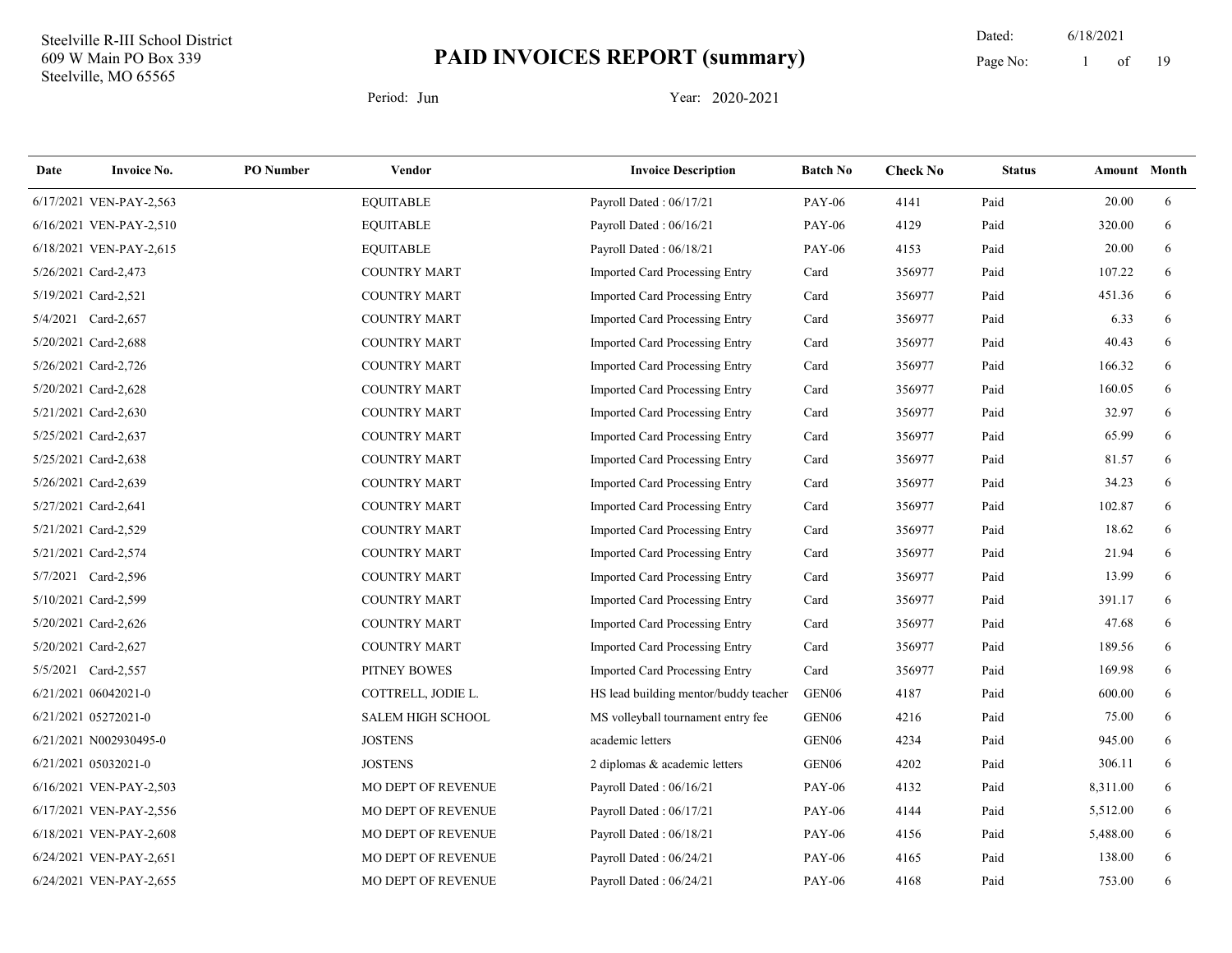19 Dated: 6/18/2021 Page No: 1 of

| Date | <b>Invoice No.</b>      | <b>PO</b> Number | Vendor                    | <b>Invoice Description</b>            | <b>Batch No</b>   | <b>Check No</b> | <b>Status</b> | Amount Month |   |
|------|-------------------------|------------------|---------------------------|---------------------------------------|-------------------|-----------------|---------------|--------------|---|
|      | 6/17/2021 VEN-PAY-2,563 |                  | <b>EQUITABLE</b>          | Payroll Dated: 06/17/21               | <b>PAY-06</b>     | 4141            | Paid          | 20.00        | 6 |
|      | 6/16/2021 VEN-PAY-2,510 |                  | <b>EQUITABLE</b>          | Payroll Dated: 06/16/21               | <b>PAY-06</b>     | 4129            | Paid          | 320.00       | 6 |
|      | 6/18/2021 VEN-PAY-2,615 |                  | <b>EQUITABLE</b>          | Payroll Dated: 06/18/21               | <b>PAY-06</b>     | 4153            | Paid          | 20.00        | 6 |
|      | 5/26/2021 Card-2,473    |                  | <b>COUNTRY MART</b>       | Imported Card Processing Entry        | Card              | 356977          | Paid          | 107.22       | 6 |
|      | 5/19/2021 Card-2,521    |                  | <b>COUNTRY MART</b>       | Imported Card Processing Entry        | Card              | 356977          | Paid          | 451.36       | 6 |
|      | 5/4/2021 Card-2,657     |                  | <b>COUNTRY MART</b>       | Imported Card Processing Entry        | Card              | 356977          | Paid          | 6.33         | 6 |
|      | 5/20/2021 Card-2,688    |                  | <b>COUNTRY MART</b>       | Imported Card Processing Entry        | Card              | 356977          | Paid          | 40.43        | 6 |
|      | 5/26/2021 Card-2,726    |                  | <b>COUNTRY MART</b>       | Imported Card Processing Entry        | Card              | 356977          | Paid          | 166.32       | 6 |
|      | 5/20/2021 Card-2,628    |                  | <b>COUNTRY MART</b>       | Imported Card Processing Entry        | Card              | 356977          | Paid          | 160.05       | 6 |
|      | 5/21/2021 Card-2,630    |                  | <b>COUNTRY MART</b>       | Imported Card Processing Entry        | Card              | 356977          | Paid          | 32.97        | 6 |
|      | 5/25/2021 Card-2,637    |                  | <b>COUNTRY MART</b>       | Imported Card Processing Entry        | Card              | 356977          | Paid          | 65.99        | 6 |
|      | 5/25/2021 Card-2,638    |                  | <b>COUNTRY MART</b>       | <b>Imported Card Processing Entry</b> | Card              | 356977          | Paid          | 81.57        | 6 |
|      | 5/26/2021 Card-2,639    |                  | <b>COUNTRY MART</b>       | Imported Card Processing Entry        | Card              | 356977          | Paid          | 34.23        | 6 |
|      | 5/27/2021 Card-2,641    |                  | <b>COUNTRY MART</b>       | Imported Card Processing Entry        | Card              | 356977          | Paid          | 102.87       | 6 |
|      | 5/21/2021 Card-2,529    |                  | <b>COUNTRY MART</b>       | Imported Card Processing Entry        | Card              | 356977          | Paid          | 18.62        | 6 |
|      | 5/21/2021 Card-2,574    |                  | <b>COUNTRY MART</b>       | Imported Card Processing Entry        | Card              | 356977          | Paid          | 21.94        | 6 |
|      | 5/7/2021 Card-2,596     |                  | <b>COUNTRY MART</b>       | Imported Card Processing Entry        | Card              | 356977          | Paid          | 13.99        | 6 |
|      | 5/10/2021 Card-2,599    |                  | <b>COUNTRY MART</b>       | Imported Card Processing Entry        | Card              | 356977          | Paid          | 391.17       | 6 |
|      | 5/20/2021 Card-2,626    |                  | <b>COUNTRY MART</b>       | Imported Card Processing Entry        | Card              | 356977          | Paid          | 47.68        | 6 |
|      | 5/20/2021 Card-2,627    |                  | <b>COUNTRY MART</b>       | Imported Card Processing Entry        | Card              | 356977          | Paid          | 189.56       | 6 |
|      | 5/5/2021 Card-2,557     |                  | PITNEY BOWES              | Imported Card Processing Entry        | Card              | 356977          | Paid          | 169.98       | 6 |
|      | 6/21/2021 06042021-0    |                  | COTTRELL, JODIE L.        | HS lead building mentor/buddy teacher | GEN <sub>06</sub> | 4187            | Paid          | 600.00       | 6 |
|      | 6/21/2021 05272021-0    |                  | <b>SALEM HIGH SCHOOL</b>  | MS volleyball tournament entry fee    | GEN <sub>06</sub> | 4216            | Paid          | 75.00        | 6 |
|      | 6/21/2021 N002930495-0  |                  | <b>JOSTENS</b>            | academic letters                      | GEN <sub>06</sub> | 4234            | Paid          | 945.00       | 6 |
|      | 6/21/2021 05032021-0    |                  | <b>JOSTENS</b>            | 2 diplomas & academic letters         | GEN <sub>06</sub> | 4202            | Paid          | 306.11       | 6 |
|      | 6/16/2021 VEN-PAY-2,503 |                  | MO DEPT OF REVENUE        | Payroll Dated: 06/16/21               | <b>PAY-06</b>     | 4132            | Paid          | 8,311.00     | 6 |
|      | 6/17/2021 VEN-PAY-2,556 |                  | MO DEPT OF REVENUE        | Payroll Dated: 06/17/21               | <b>PAY-06</b>     | 4144            | Paid          | 5,512.00     | 6 |
|      | 6/18/2021 VEN-PAY-2,608 |                  | <b>MO DEPT OF REVENUE</b> | Payroll Dated: 06/18/21               | <b>PAY-06</b>     | 4156            | Paid          | 5,488.00     | 6 |
|      | 6/24/2021 VEN-PAY-2,651 |                  | MO DEPT OF REVENUE        | Payroll Dated: 06/24/21               | <b>PAY-06</b>     | 4165            | Paid          | 138.00       | 6 |
|      | 6/24/2021 VEN-PAY-2,655 |                  | MO DEPT OF REVENUE        | Payroll Dated: 06/24/21               | <b>PAY-06</b>     | 4168            | Paid          | 753.00       | 6 |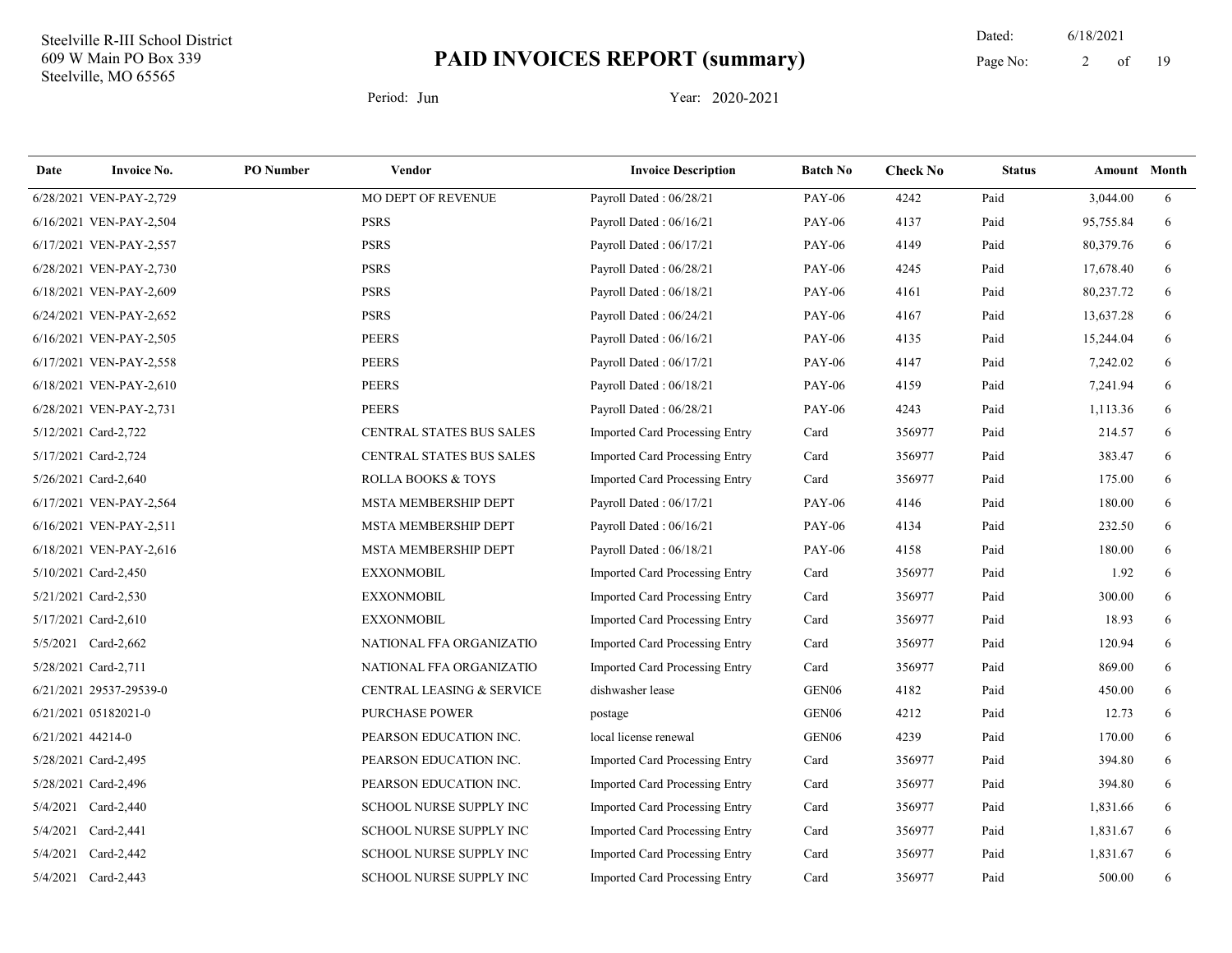19 Dated: 6/18/2021 Page No: 2 of

| Date              | <b>Invoice No.</b>      | <b>PO</b> Number | Vendor                               | <b>Invoice Description</b>            | <b>Batch No</b>   | <b>Check No</b> | <b>Status</b> | <b>Amount</b> Month |   |
|-------------------|-------------------------|------------------|--------------------------------------|---------------------------------------|-------------------|-----------------|---------------|---------------------|---|
|                   | 6/28/2021 VEN-PAY-2,729 |                  | MO DEPT OF REVENUE                   | Payroll Dated: 06/28/21               | <b>PAY-06</b>     | 4242            | Paid          | 3,044.00            | 6 |
|                   | 6/16/2021 VEN-PAY-2,504 |                  | <b>PSRS</b>                          | Payroll Dated: 06/16/21               | <b>PAY-06</b>     | 4137            | Paid          | 95,755.84           | 6 |
|                   | 6/17/2021 VEN-PAY-2,557 |                  | <b>PSRS</b>                          | Payroll Dated: 06/17/21               | <b>PAY-06</b>     | 4149            | Paid          | 80,379.76           | 6 |
|                   | 6/28/2021 VEN-PAY-2,730 |                  | <b>PSRS</b>                          | Payroll Dated: 06/28/21               | <b>PAY-06</b>     | 4245            | Paid          | 17,678.40           | 6 |
|                   | 6/18/2021 VEN-PAY-2,609 |                  | <b>PSRS</b>                          | Payroll Dated: 06/18/21               | <b>PAY-06</b>     | 4161            | Paid          | 80,237.72           | 6 |
|                   | 6/24/2021 VEN-PAY-2,652 |                  | <b>PSRS</b>                          | Payroll Dated: 06/24/21               | <b>PAY-06</b>     | 4167            | Paid          | 13,637.28           | 6 |
|                   | 6/16/2021 VEN-PAY-2,505 |                  | <b>PEERS</b>                         | Payroll Dated: 06/16/21               | <b>PAY-06</b>     | 4135            | Paid          | 15,244.04           | 6 |
|                   | 6/17/2021 VEN-PAY-2,558 |                  | <b>PEERS</b>                         | Payroll Dated: 06/17/21               | <b>PAY-06</b>     | 4147            | Paid          | 7,242.02            | 6 |
|                   | 6/18/2021 VEN-PAY-2,610 |                  | <b>PEERS</b>                         | Payroll Dated: 06/18/21               | <b>PAY-06</b>     | 4159            | Paid          | 7,241.94            | 6 |
|                   | 6/28/2021 VEN-PAY-2,731 |                  | <b>PEERS</b>                         | Payroll Dated: 06/28/21               | <b>PAY-06</b>     | 4243            | Paid          | 1,113.36            | 6 |
|                   | 5/12/2021 Card-2,722    |                  | CENTRAL STATES BUS SALES             | Imported Card Processing Entry        | Card              | 356977          | Paid          | 214.57              | 6 |
|                   | 5/17/2021 Card-2,724    |                  | CENTRAL STATES BUS SALES             | Imported Card Processing Entry        | Card              | 356977          | Paid          | 383.47              | 6 |
|                   | 5/26/2021 Card-2,640    |                  | <b>ROLLA BOOKS &amp; TOYS</b>        | <b>Imported Card Processing Entry</b> | Card              | 356977          | Paid          | 175.00              | 6 |
|                   | 6/17/2021 VEN-PAY-2,564 |                  | MSTA MEMBERSHIP DEPT                 | Payroll Dated: 06/17/21               | <b>PAY-06</b>     | 4146            | Paid          | 180.00              | 6 |
|                   | 6/16/2021 VEN-PAY-2,511 |                  | MSTA MEMBERSHIP DEPT                 | Payroll Dated: 06/16/21               | <b>PAY-06</b>     | 4134            | Paid          | 232.50              | 6 |
|                   | 6/18/2021 VEN-PAY-2,616 |                  | MSTA MEMBERSHIP DEPT                 | Payroll Dated: 06/18/21               | <b>PAY-06</b>     | 4158            | Paid          | 180.00              | 6 |
|                   | 5/10/2021 Card-2,450    |                  | <b>EXXONMOBIL</b>                    | <b>Imported Card Processing Entry</b> | Card              | 356977          | Paid          | 1.92                | 6 |
|                   | 5/21/2021 Card-2,530    |                  | <b>EXXONMOBIL</b>                    | <b>Imported Card Processing Entry</b> | Card              | 356977          | Paid          | 300.00              | 6 |
|                   | 5/17/2021 Card-2,610    |                  | <b>EXXONMOBIL</b>                    | Imported Card Processing Entry        | Card              | 356977          | Paid          | 18.93               | 6 |
|                   | 5/5/2021 Card-2,662     |                  | NATIONAL FFA ORGANIZATIO             | Imported Card Processing Entry        | Card              | 356977          | Paid          | 120.94              | 6 |
|                   | 5/28/2021 Card-2,711    |                  | NATIONAL FFA ORGANIZATIO             | Imported Card Processing Entry        | Card              | 356977          | Paid          | 869.00              | 6 |
|                   | 6/21/2021 29537-29539-0 |                  | <b>CENTRAL LEASING &amp; SERVICE</b> | dishwasher lease                      | GEN <sub>06</sub> | 4182            | Paid          | 450.00              | 6 |
|                   | 6/21/2021 05182021-0    |                  | <b>PURCHASE POWER</b>                | postage                               | GEN <sub>06</sub> | 4212            | Paid          | 12.73               | 6 |
| 6/21/2021 44214-0 |                         |                  | PEARSON EDUCATION INC.               | local license renewal                 | GEN <sub>06</sub> | 4239            | Paid          | 170.00              | 6 |
|                   | 5/28/2021 Card-2,495    |                  | PEARSON EDUCATION INC.               | <b>Imported Card Processing Entry</b> | Card              | 356977          | Paid          | 394.80              | 6 |
|                   | 5/28/2021 Card-2,496    |                  | PEARSON EDUCATION INC.               | Imported Card Processing Entry        | Card              | 356977          | Paid          | 394.80              | 6 |
|                   | 5/4/2021 Card-2,440     |                  | <b>SCHOOL NURSE SUPPLY INC</b>       | <b>Imported Card Processing Entry</b> | Card              | 356977          | Paid          | 1,831.66            | 6 |
|                   | 5/4/2021 Card-2,441     |                  | SCHOOL NURSE SUPPLY INC              | Imported Card Processing Entry        | Card              | 356977          | Paid          | 1,831.67            | 6 |
|                   | 5/4/2021 Card-2,442     |                  | <b>SCHOOL NURSE SUPPLY INC</b>       | Imported Card Processing Entry        | Card              | 356977          | Paid          | 1,831.67            | 6 |
|                   | 5/4/2021 Card-2,443     |                  | SCHOOL NURSE SUPPLY INC              | Imported Card Processing Entry        | Card              | 356977          | Paid          | 500.00              | 6 |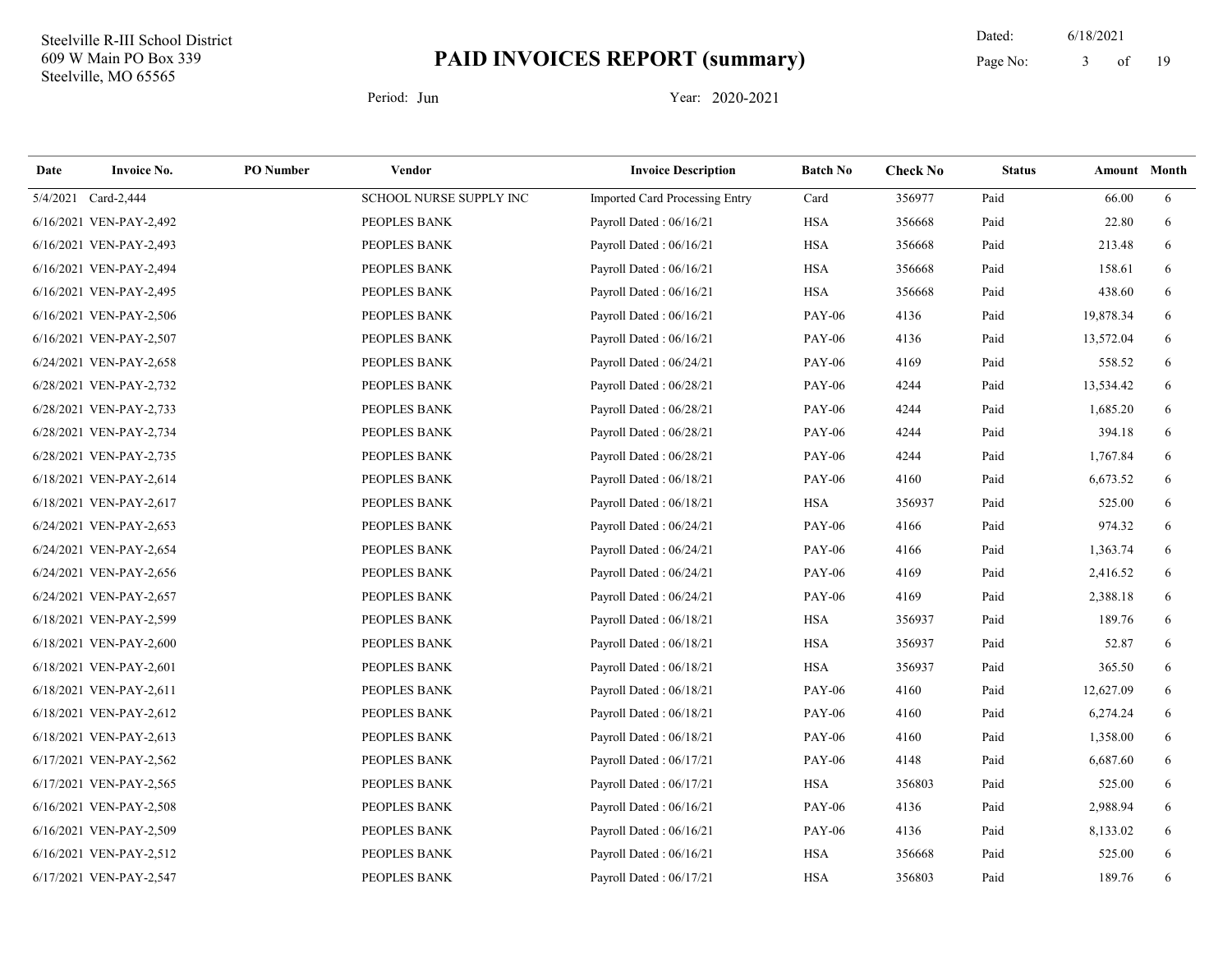19 Dated: 6/18/2021 Page No: 3 of

| Date | <b>Invoice No.</b>      | <b>PO</b> Number | <b>Vendor</b>           | <b>Invoice Description</b>            | <b>Batch No</b> | <b>Check No</b> | <b>Status</b> | Amount Month |   |
|------|-------------------------|------------------|-------------------------|---------------------------------------|-----------------|-----------------|---------------|--------------|---|
|      | 5/4/2021 Card-2,444     |                  | SCHOOL NURSE SUPPLY INC | <b>Imported Card Processing Entry</b> | Card            | 356977          | Paid          | 66.00        | 6 |
|      | 6/16/2021 VEN-PAY-2,492 |                  | PEOPLES BANK            | Payroll Dated: 06/16/21               | <b>HSA</b>      | 356668          | Paid          | 22.80        | 6 |
|      | 6/16/2021 VEN-PAY-2,493 |                  | PEOPLES BANK            | Payroll Dated: 06/16/21               | <b>HSA</b>      | 356668          | Paid          | 213.48       | 6 |
|      | 6/16/2021 VEN-PAY-2,494 |                  | PEOPLES BANK            | Payroll Dated: 06/16/21               | <b>HSA</b>      | 356668          | Paid          | 158.61       | 6 |
|      | 6/16/2021 VEN-PAY-2,495 |                  | PEOPLES BANK            | Payroll Dated: 06/16/21               | <b>HSA</b>      | 356668          | Paid          | 438.60       | 6 |
|      | 6/16/2021 VEN-PAY-2,506 |                  | PEOPLES BANK            | Payroll Dated: 06/16/21               | <b>PAY-06</b>   | 4136            | Paid          | 19,878.34    | 6 |
|      | 6/16/2021 VEN-PAY-2,507 |                  | PEOPLES BANK            | Payroll Dated: 06/16/21               | <b>PAY-06</b>   | 4136            | Paid          | 13,572.04    | 6 |
|      | 6/24/2021 VEN-PAY-2,658 |                  | PEOPLES BANK            | Payroll Dated: 06/24/21               | <b>PAY-06</b>   | 4169            | Paid          | 558.52       | 6 |
|      | 6/28/2021 VEN-PAY-2,732 |                  | PEOPLES BANK            | Payroll Dated: 06/28/21               | <b>PAY-06</b>   | 4244            | Paid          | 13,534.42    | 6 |
|      | 6/28/2021 VEN-PAY-2,733 |                  | PEOPLES BANK            | Payroll Dated: 06/28/21               | <b>PAY-06</b>   | 4244            | Paid          | 1,685.20     | 6 |
|      | 6/28/2021 VEN-PAY-2,734 |                  | PEOPLES BANK            | Payroll Dated: 06/28/21               | <b>PAY-06</b>   | 4244            | Paid          | 394.18       | 6 |
|      | 6/28/2021 VEN-PAY-2,735 |                  | PEOPLES BANK            | Payroll Dated: 06/28/21               | <b>PAY-06</b>   | 4244            | Paid          | 1,767.84     | 6 |
|      | 6/18/2021 VEN-PAY-2,614 |                  | PEOPLES BANK            | Payroll Dated: 06/18/21               | <b>PAY-06</b>   | 4160            | Paid          | 6,673.52     | 6 |
|      | 6/18/2021 VEN-PAY-2,617 |                  | PEOPLES BANK            | Payroll Dated: 06/18/21               | <b>HSA</b>      | 356937          | Paid          | 525.00       | 6 |
|      | 6/24/2021 VEN-PAY-2,653 |                  | PEOPLES BANK            | Payroll Dated: 06/24/21               | <b>PAY-06</b>   | 4166            | Paid          | 974.32       | 6 |
|      | 6/24/2021 VEN-PAY-2,654 |                  | PEOPLES BANK            | Payroll Dated: 06/24/21               | <b>PAY-06</b>   | 4166            | Paid          | 1,363.74     | 6 |
|      | 6/24/2021 VEN-PAY-2,656 |                  | PEOPLES BANK            | Payroll Dated: 06/24/21               | <b>PAY-06</b>   | 4169            | Paid          | 2,416.52     | 6 |
|      | 6/24/2021 VEN-PAY-2,657 |                  | PEOPLES BANK            | Payroll Dated: 06/24/21               | <b>PAY-06</b>   | 4169            | Paid          | 2,388.18     | 6 |
|      | 6/18/2021 VEN-PAY-2,599 |                  | PEOPLES BANK            | Payroll Dated: 06/18/21               | <b>HSA</b>      | 356937          | Paid          | 189.76       | 6 |
|      | 6/18/2021 VEN-PAY-2,600 |                  | PEOPLES BANK            | Payroll Dated: 06/18/21               | <b>HSA</b>      | 356937          | Paid          | 52.87        | 6 |
|      | 6/18/2021 VEN-PAY-2,601 |                  | PEOPLES BANK            | Payroll Dated: 06/18/21               | <b>HSA</b>      | 356937          | Paid          | 365.50       | 6 |
|      | 6/18/2021 VEN-PAY-2,611 |                  | PEOPLES BANK            | Payroll Dated: 06/18/21               | <b>PAY-06</b>   | 4160            | Paid          | 12,627.09    | 6 |
|      | 6/18/2021 VEN-PAY-2,612 |                  | PEOPLES BANK            | Payroll Dated: 06/18/21               | <b>PAY-06</b>   | 4160            | Paid          | 6,274.24     | 6 |
|      | 6/18/2021 VEN-PAY-2,613 |                  | PEOPLES BANK            | Payroll Dated: 06/18/21               | <b>PAY-06</b>   | 4160            | Paid          | 1,358.00     | 6 |
|      | 6/17/2021 VEN-PAY-2,562 |                  | PEOPLES BANK            | Payroll Dated: 06/17/21               | <b>PAY-06</b>   | 4148            | Paid          | 6,687.60     | 6 |
|      | 6/17/2021 VEN-PAY-2,565 |                  | PEOPLES BANK            | Payroll Dated: 06/17/21               | <b>HSA</b>      | 356803          | Paid          | 525.00       | 6 |
|      | 6/16/2021 VEN-PAY-2,508 |                  | PEOPLES BANK            | Payroll Dated: 06/16/21               | <b>PAY-06</b>   | 4136            | Paid          | 2,988.94     | 6 |
|      | 6/16/2021 VEN-PAY-2,509 |                  | PEOPLES BANK            | Payroll Dated: 06/16/21               | <b>PAY-06</b>   | 4136            | Paid          | 8,133.02     | 6 |
|      | 6/16/2021 VEN-PAY-2,512 |                  | PEOPLES BANK            | Payroll Dated: 06/16/21               | <b>HSA</b>      | 356668          | Paid          | 525.00       | 6 |
|      | 6/17/2021 VEN-PAY-2,547 |                  | PEOPLES BANK            | Payroll Dated: 06/17/21               | <b>HSA</b>      | 356803          | Paid          | 189.76       | 6 |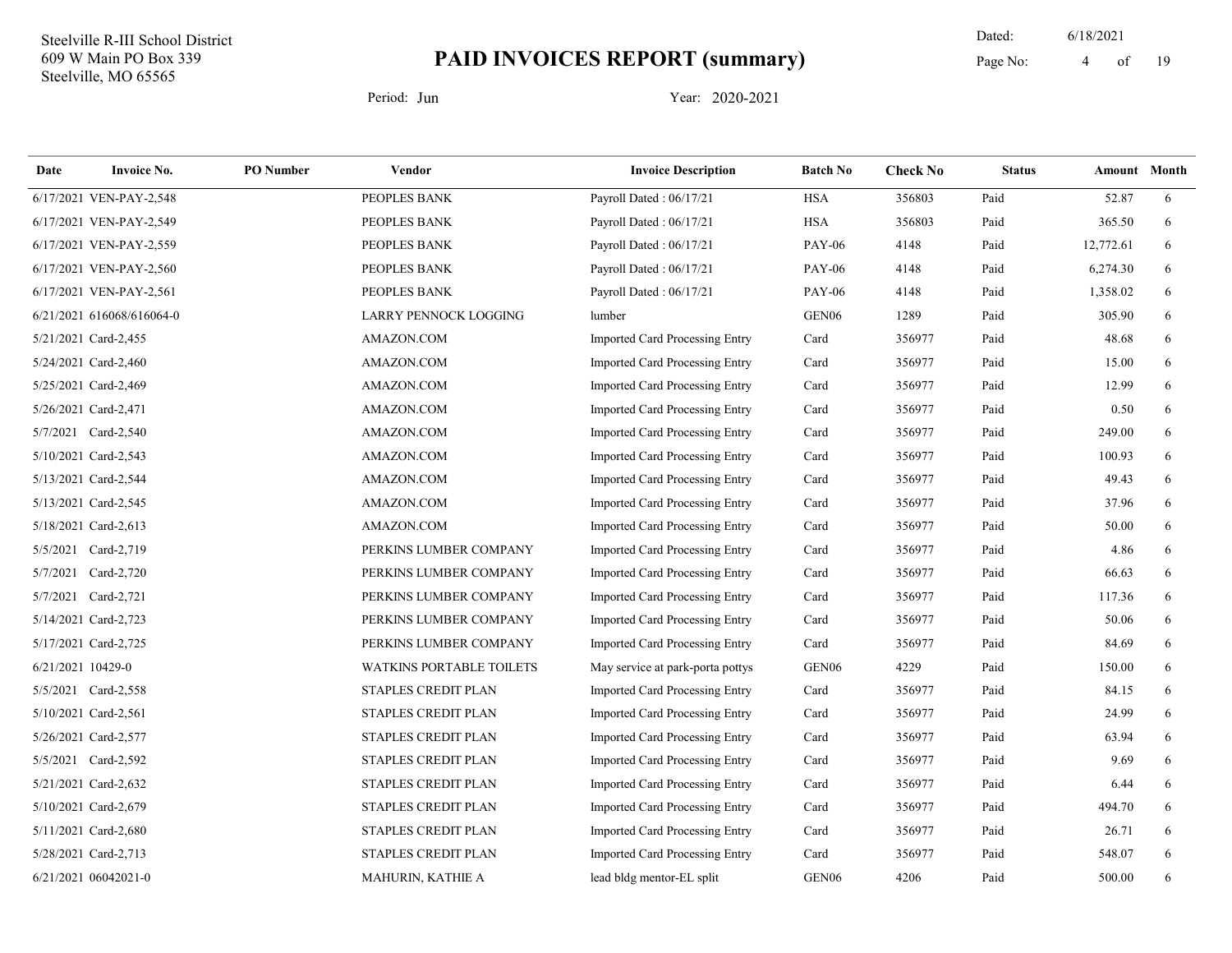19 Dated: 6/18/2021 Page No: 4 of

| Date              | <b>Invoice No.</b>        | <b>PO</b> Number | Vendor                          | <b>Invoice Description</b>            | <b>Batch No</b>   | <b>Check No</b> | <b>Status</b> | Amount Month |   |
|-------------------|---------------------------|------------------|---------------------------------|---------------------------------------|-------------------|-----------------|---------------|--------------|---|
|                   | 6/17/2021 VEN-PAY-2,548   |                  | PEOPLES BANK                    | Payroll Dated: 06/17/21               | <b>HSA</b>        | 356803          | Paid          | 52.87        | 6 |
|                   | 6/17/2021 VEN-PAY-2,549   |                  | PEOPLES BANK                    | Payroll Dated: 06/17/21               | <b>HSA</b>        | 356803          | Paid          | 365.50       | 6 |
|                   | 6/17/2021 VEN-PAY-2,559   |                  | PEOPLES BANK                    | Payroll Dated: 06/17/21               | <b>PAY-06</b>     | 4148            | Paid          | 12,772.61    | 6 |
|                   | 6/17/2021 VEN-PAY-2,560   |                  | PEOPLES BANK                    | Payroll Dated: 06/17/21               | <b>PAY-06</b>     | 4148            | Paid          | 6,274.30     | 6 |
|                   | 6/17/2021 VEN-PAY-2,561   |                  | PEOPLES BANK                    | Payroll Dated: 06/17/21               | <b>PAY-06</b>     | 4148            | Paid          | 1,358.02     | 6 |
|                   | 6/21/2021 616068/616064-0 |                  | LARRY PENNOCK LOGGING           | lumber                                | GEN <sub>06</sub> | 1289            | Paid          | 305.90       | 6 |
|                   | 5/21/2021 Card-2,455      |                  | AMAZON.COM                      | Imported Card Processing Entry        | Card              | 356977          | Paid          | 48.68        | 6 |
|                   | 5/24/2021 Card-2,460      |                  | AMAZON.COM                      | Imported Card Processing Entry        | Card              | 356977          | Paid          | 15.00        | 6 |
|                   | 5/25/2021 Card-2,469      |                  | AMAZON.COM                      | Imported Card Processing Entry        | Card              | 356977          | Paid          | 12.99        | 6 |
|                   | 5/26/2021 Card-2,471      |                  | AMAZON.COM                      | <b>Imported Card Processing Entry</b> | Card              | 356977          | Paid          | 0.50         | 6 |
|                   | 5/7/2021 Card-2,540       |                  | AMAZON.COM                      | Imported Card Processing Entry        | Card              | 356977          | Paid          | 249.00       | 6 |
|                   | 5/10/2021 Card-2,543      |                  | AMAZON.COM                      | Imported Card Processing Entry        | Card              | 356977          | Paid          | 100.93       | 6 |
|                   | 5/13/2021 Card-2,544      |                  | AMAZON.COM                      | <b>Imported Card Processing Entry</b> | Card              | 356977          | Paid          | 49.43        | 6 |
|                   | 5/13/2021 Card-2,545      |                  | AMAZON.COM                      | Imported Card Processing Entry        | Card              | 356977          | Paid          | 37.96        | 6 |
|                   | 5/18/2021 Card-2,613      |                  | AMAZON.COM                      | Imported Card Processing Entry        | Card              | 356977          | Paid          | 50.00        | 6 |
|                   | 5/5/2021 Card-2,719       |                  | PERKINS LUMBER COMPANY          | Imported Card Processing Entry        | Card              | 356977          | Paid          | 4.86         | 6 |
|                   | 5/7/2021 Card-2,720       |                  | PERKINS LUMBER COMPANY          | <b>Imported Card Processing Entry</b> | Card              | 356977          | Paid          | 66.63        | 6 |
|                   | 5/7/2021 Card-2,721       |                  | PERKINS LUMBER COMPANY          | Imported Card Processing Entry        | Card              | 356977          | Paid          | 117.36       | 6 |
|                   | 5/14/2021 Card-2,723      |                  | PERKINS LUMBER COMPANY          | Imported Card Processing Entry        | Card              | 356977          | Paid          | 50.06        | 6 |
|                   | 5/17/2021 Card-2,725      |                  | PERKINS LUMBER COMPANY          | Imported Card Processing Entry        | Card              | 356977          | Paid          | 84.69        | 6 |
| 6/21/2021 10429-0 |                           |                  | <b>WATKINS PORTABLE TOILETS</b> | May service at park-porta pottys      | GEN <sub>06</sub> | 4229            | Paid          | 150.00       | 6 |
|                   | 5/5/2021 Card-2,558       |                  | STAPLES CREDIT PLAN             | Imported Card Processing Entry        | Card              | 356977          | Paid          | 84.15        | 6 |
|                   | 5/10/2021 Card-2,561      |                  | STAPLES CREDIT PLAN             | Imported Card Processing Entry        | Card              | 356977          | Paid          | 24.99        | 6 |
|                   | 5/26/2021 Card-2,577      |                  | STAPLES CREDIT PLAN             | <b>Imported Card Processing Entry</b> | Card              | 356977          | Paid          | 63.94        | 6 |
|                   | 5/5/2021 Card-2,592       |                  | STAPLES CREDIT PLAN             | Imported Card Processing Entry        | Card              | 356977          | Paid          | 9.69         | 6 |
|                   | 5/21/2021 Card-2,632      |                  | STAPLES CREDIT PLAN             | Imported Card Processing Entry        | Card              | 356977          | Paid          | 6.44         | 6 |
|                   | 5/10/2021 Card-2,679      |                  | STAPLES CREDIT PLAN             | Imported Card Processing Entry        | Card              | 356977          | Paid          | 494.70       | 6 |
|                   | 5/11/2021 Card-2,680      |                  | STAPLES CREDIT PLAN             | Imported Card Processing Entry        | Card              | 356977          | Paid          | 26.71        | 6 |
|                   | 5/28/2021 Card-2,713      |                  | STAPLES CREDIT PLAN             | Imported Card Processing Entry        | Card              | 356977          | Paid          | 548.07       | 6 |
|                   | 6/21/2021 06042021-0      |                  | MAHURIN, KATHIE A               | lead bldg mentor-EL split             | GEN <sub>06</sub> | 4206            | Paid          | 500.00       | 6 |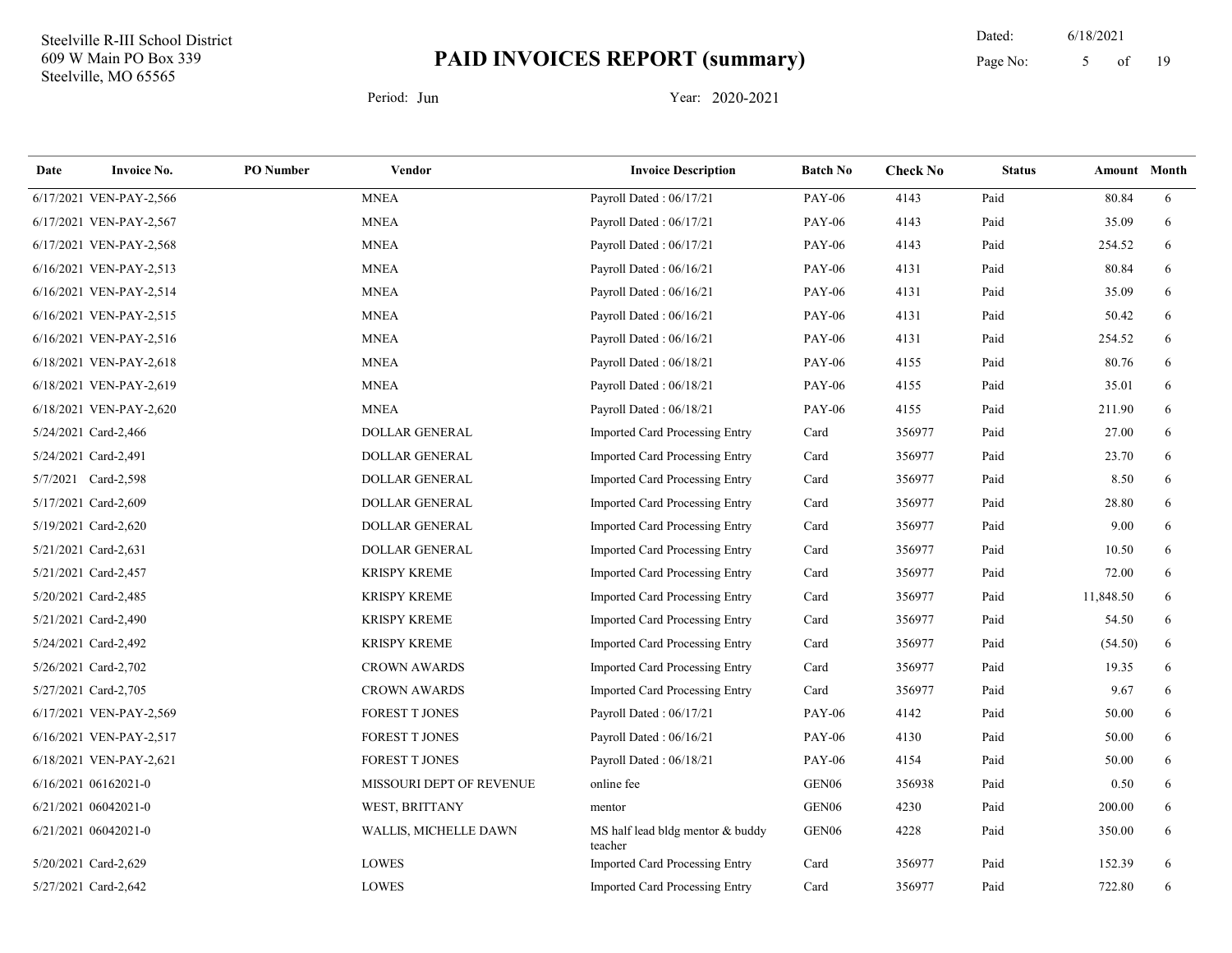19 Dated: 6/18/2021 Page No: 5 of

| Date | <b>Invoice No.</b>      | <b>PO</b> Number | <b>Vendor</b>            | <b>Invoice Description</b>                  | <b>Batch No</b>   | <b>Check No</b> | <b>Status</b> | <b>Amount</b> Month |   |
|------|-------------------------|------------------|--------------------------|---------------------------------------------|-------------------|-----------------|---------------|---------------------|---|
|      | 6/17/2021 VEN-PAY-2,566 |                  | <b>MNEA</b>              | Payroll Dated: 06/17/21                     | <b>PAY-06</b>     | 4143            | Paid          | 80.84               | 6 |
|      | 6/17/2021 VEN-PAY-2,567 |                  | <b>MNEA</b>              | Payroll Dated: 06/17/21                     | <b>PAY-06</b>     | 4143            | Paid          | 35.09               | 6 |
|      | 6/17/2021 VEN-PAY-2,568 |                  | <b>MNEA</b>              | Payroll Dated: 06/17/21                     | <b>PAY-06</b>     | 4143            | Paid          | 254.52              | 6 |
|      | 6/16/2021 VEN-PAY-2,513 |                  | <b>MNEA</b>              | Payroll Dated: 06/16/21                     | <b>PAY-06</b>     | 4131            | Paid          | 80.84               | 6 |
|      | 6/16/2021 VEN-PAY-2,514 |                  | <b>MNEA</b>              | Payroll Dated: 06/16/21                     | <b>PAY-06</b>     | 4131            | Paid          | 35.09               | 6 |
|      | 6/16/2021 VEN-PAY-2,515 |                  | <b>MNEA</b>              | Payroll Dated: 06/16/21                     | <b>PAY-06</b>     | 4131            | Paid          | 50.42               | 6 |
|      | 6/16/2021 VEN-PAY-2,516 |                  | <b>MNEA</b>              | Payroll Dated: 06/16/21                     | <b>PAY-06</b>     | 4131            | Paid          | 254.52              | 6 |
|      | 6/18/2021 VEN-PAY-2,618 |                  | <b>MNEA</b>              | Payroll Dated: 06/18/21                     | <b>PAY-06</b>     | 4155            | Paid          | 80.76               | 6 |
|      | 6/18/2021 VEN-PAY-2,619 |                  | <b>MNEA</b>              | Payroll Dated: 06/18/21                     | <b>PAY-06</b>     | 4155            | Paid          | 35.01               | 6 |
|      | 6/18/2021 VEN-PAY-2,620 |                  | <b>MNEA</b>              | Payroll Dated: 06/18/21                     | <b>PAY-06</b>     | 4155            | Paid          | 211.90              | 6 |
|      | 5/24/2021 Card-2,466    |                  | <b>DOLLAR GENERAL</b>    | <b>Imported Card Processing Entry</b>       | Card              | 356977          | Paid          | 27.00               | 6 |
|      | 5/24/2021 Card-2,491    |                  | DOLLAR GENERAL           | Imported Card Processing Entry              | Card              | 356977          | Paid          | 23.70               | 6 |
|      | 5/7/2021 Card-2,598     |                  | DOLLAR GENERAL           | Imported Card Processing Entry              | Card              | 356977          | Paid          | 8.50                | 6 |
|      | 5/17/2021 Card-2,609    |                  | DOLLAR GENERAL           | Imported Card Processing Entry              | Card              | 356977          | Paid          | 28.80               | 6 |
|      | 5/19/2021 Card-2,620    |                  | <b>DOLLAR GENERAL</b>    | Imported Card Processing Entry              | Card              | 356977          | Paid          | 9.00                | 6 |
|      | 5/21/2021 Card-2,631    |                  | DOLLAR GENERAL           | Imported Card Processing Entry              | Card              | 356977          | Paid          | 10.50               | 6 |
|      | 5/21/2021 Card-2,457    |                  | <b>KRISPY KREME</b>      | Imported Card Processing Entry              | Card              | 356977          | Paid          | 72.00               | 6 |
|      | 5/20/2021 Card-2,485    |                  | <b>KRISPY KREME</b>      | Imported Card Processing Entry              | Card              | 356977          | Paid          | 11,848.50           | 6 |
|      | 5/21/2021 Card-2,490    |                  | <b>KRISPY KREME</b>      | Imported Card Processing Entry              | Card              | 356977          | Paid          | 54.50               | 6 |
|      | 5/24/2021 Card-2,492    |                  | <b>KRISPY KREME</b>      | Imported Card Processing Entry              | Card              | 356977          | Paid          | (54.50)             | 6 |
|      | 5/26/2021 Card-2,702    |                  | <b>CROWN AWARDS</b>      | Imported Card Processing Entry              | Card              | 356977          | Paid          | 19.35               | 6 |
|      | 5/27/2021 Card-2,705    |                  | <b>CROWN AWARDS</b>      | <b>Imported Card Processing Entry</b>       | Card              | 356977          | Paid          | 9.67                | 6 |
|      | 6/17/2021 VEN-PAY-2,569 |                  | <b>FOREST T JONES</b>    | Payroll Dated: 06/17/21                     | <b>PAY-06</b>     | 4142            | Paid          | 50.00               | 6 |
|      | 6/16/2021 VEN-PAY-2,517 |                  | <b>FOREST T JONES</b>    | Payroll Dated: 06/16/21                     | <b>PAY-06</b>     | 4130            | Paid          | 50.00               | 6 |
|      | 6/18/2021 VEN-PAY-2,621 |                  | <b>FOREST T JONES</b>    | Payroll Dated: 06/18/21                     | <b>PAY-06</b>     | 4154            | Paid          | 50.00               | 6 |
|      | 6/16/2021 06162021-0    |                  | MISSOURI DEPT OF REVENUE | online fee                                  | GEN <sub>06</sub> | 356938          | Paid          | 0.50                | 6 |
|      | 6/21/2021 06042021-0    |                  | WEST, BRITTANY           | mentor                                      | GEN <sub>06</sub> | 4230            | Paid          | 200.00              | 6 |
|      | 6/21/2021 06042021-0    |                  | WALLIS, MICHELLE DAWN    | MS half lead bldg mentor & buddy<br>teacher | GEN <sub>06</sub> | 4228            | Paid          | 350.00              | 6 |
|      | 5/20/2021 Card-2,629    |                  | <b>LOWES</b>             | Imported Card Processing Entry              | Card              | 356977          | Paid          | 152.39              | 6 |
|      | 5/27/2021 Card-2,642    |                  | <b>LOWES</b>             | <b>Imported Card Processing Entry</b>       | Card              | 356977          | Paid          | 722.80              | 6 |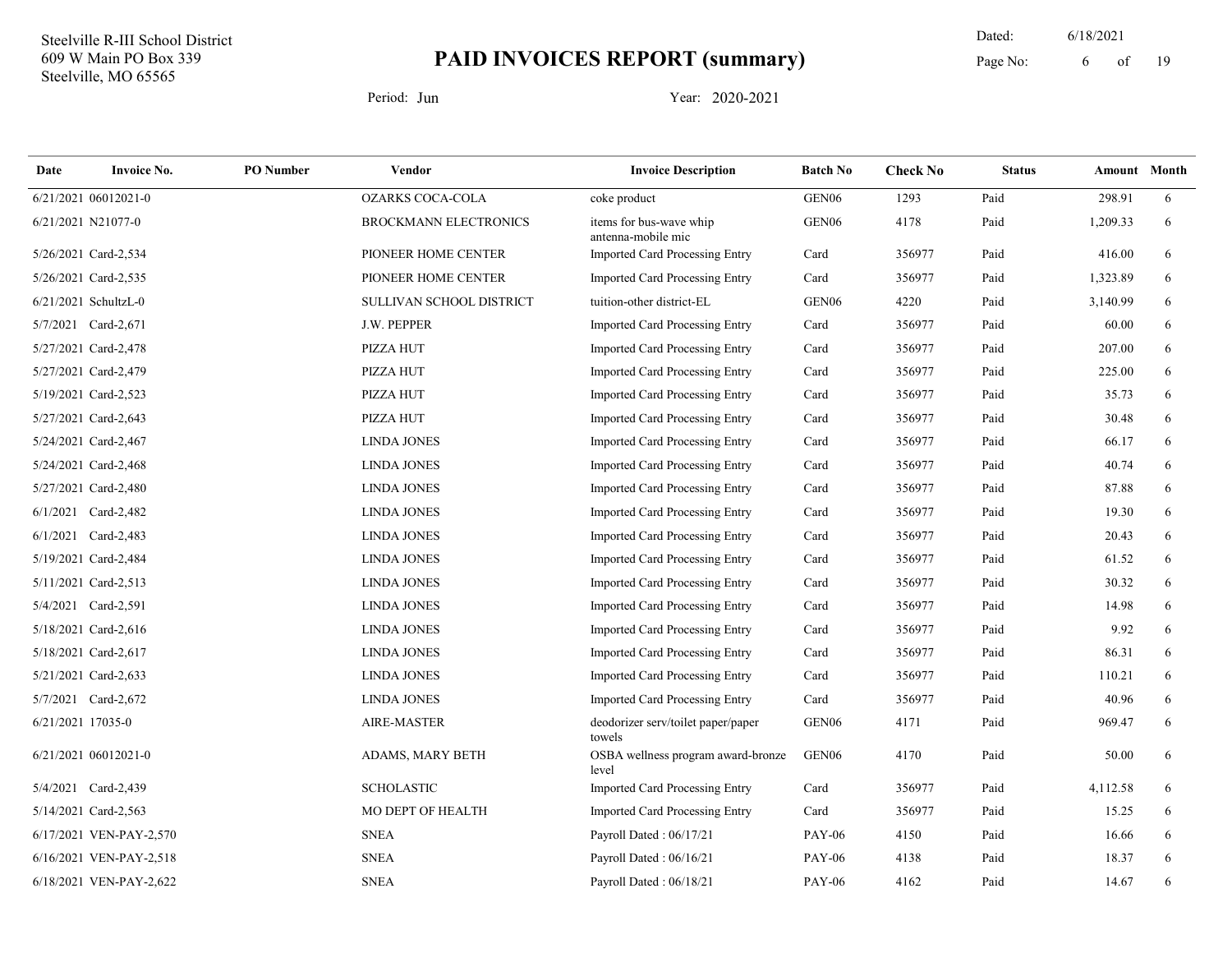19 Dated: 6/18/2021 Page No: 6 of

| Date              | <b>Invoice No.</b>      | <b>PO</b> Number | Vendor                       | <b>Invoice Description</b>                    | <b>Batch No</b>   | <b>Check No</b> | <b>Status</b> | <b>Amount</b> Month |   |
|-------------------|-------------------------|------------------|------------------------------|-----------------------------------------------|-------------------|-----------------|---------------|---------------------|---|
|                   | 6/21/2021 06012021-0    |                  | <b>OZARKS COCA-COLA</b>      | coke product                                  | GEN <sub>06</sub> | 1293            | Paid          | 298.91              | 6 |
|                   | 6/21/2021 N21077-0      |                  | <b>BROCKMANN ELECTRONICS</b> | items for bus-wave whip<br>antenna-mobile mic | GEN <sub>06</sub> | 4178            | Paid          | 1,209.33            | 6 |
|                   | 5/26/2021 Card-2,534    |                  | PIONEER HOME CENTER          | Imported Card Processing Entry                | Card              | 356977          | Paid          | 416.00              | 6 |
|                   | 5/26/2021 Card-2,535    |                  | PIONEER HOME CENTER          | Imported Card Processing Entry                | Card              | 356977          | Paid          | 1,323.89            | 6 |
|                   | 6/21/2021 SchultzL-0    |                  | SULLIVAN SCHOOL DISTRICT     | tuition-other district-EL                     | GEN <sub>06</sub> | 4220            | Paid          | 3,140.99            | 6 |
|                   | 5/7/2021 Card-2,671     |                  | J.W. PEPPER                  | <b>Imported Card Processing Entry</b>         | Card              | 356977          | Paid          | 60.00               | 6 |
|                   | 5/27/2021 Card-2,478    |                  | PIZZA HUT                    | Imported Card Processing Entry                | Card              | 356977          | Paid          | 207.00              | 6 |
|                   | 5/27/2021 Card-2,479    |                  | PIZZA HUT                    | <b>Imported Card Processing Entry</b>         | Card              | 356977          | Paid          | 225.00              | 6 |
|                   | 5/19/2021 Card-2,523    |                  | PIZZA HUT                    | <b>Imported Card Processing Entry</b>         | Card              | 356977          | Paid          | 35.73               | 6 |
|                   | 5/27/2021 Card-2,643    |                  | PIZZA HUT                    | Imported Card Processing Entry                | Card              | 356977          | Paid          | 30.48               | 6 |
|                   | 5/24/2021 Card-2,467    |                  | <b>LINDA JONES</b>           | Imported Card Processing Entry                | Card              | 356977          | Paid          | 66.17               | 6 |
|                   | 5/24/2021 Card-2,468    |                  | <b>LINDA JONES</b>           | Imported Card Processing Entry                | Card              | 356977          | Paid          | 40.74               | 6 |
|                   | 5/27/2021 Card-2,480    |                  | <b>LINDA JONES</b>           | Imported Card Processing Entry                | Card              | 356977          | Paid          | 87.88               | 6 |
|                   | 6/1/2021 Card-2,482     |                  | <b>LINDA JONES</b>           | <b>Imported Card Processing Entry</b>         | Card              | 356977          | Paid          | 19.30               | 6 |
|                   | 6/1/2021 Card-2,483     |                  | <b>LINDA JONES</b>           | <b>Imported Card Processing Entry</b>         | Card              | 356977          | Paid          | 20.43               | 6 |
|                   | 5/19/2021 Card-2,484    |                  | <b>LINDA JONES</b>           | <b>Imported Card Processing Entry</b>         | Card              | 356977          | Paid          | 61.52               | 6 |
|                   | 5/11/2021 Card-2,513    |                  | <b>LINDA JONES</b>           | Imported Card Processing Entry                | Card              | 356977          | Paid          | 30.32               | 6 |
|                   | 5/4/2021 Card-2,591     |                  | <b>LINDA JONES</b>           | Imported Card Processing Entry                | Card              | 356977          | Paid          | 14.98               | 6 |
|                   | 5/18/2021 Card-2,616    |                  | <b>LINDA JONES</b>           | Imported Card Processing Entry                | Card              | 356977          | Paid          | 9.92                | 6 |
|                   | 5/18/2021 Card-2,617    |                  | <b>LINDA JONES</b>           | <b>Imported Card Processing Entry</b>         | Card              | 356977          | Paid          | 86.31               | 6 |
|                   | 5/21/2021 Card-2,633    |                  | <b>LINDA JONES</b>           | Imported Card Processing Entry                | Card              | 356977          | Paid          | 110.21              | 6 |
|                   | 5/7/2021 Card-2,672     |                  | <b>LINDA JONES</b>           | Imported Card Processing Entry                | Card              | 356977          | Paid          | 40.96               | 6 |
| 6/21/2021 17035-0 |                         |                  | AIRE-MASTER                  | deodorizer serv/toilet paper/paper<br>towels  | GEN <sub>06</sub> | 4171            | Paid          | 969.47              | 6 |
|                   | 6/21/2021 06012021-0    |                  | ADAMS, MARY BETH             | OSBA wellness program award-bronze<br>level   | GEN06             | 4170            | Paid          | 50.00               | 6 |
|                   | 5/4/2021 Card-2,439     |                  | <b>SCHOLASTIC</b>            | Imported Card Processing Entry                | Card              | 356977          | Paid          | 4,112.58            | 6 |
|                   | 5/14/2021 Card-2,563    |                  | MO DEPT OF HEALTH            | Imported Card Processing Entry                | Card              | 356977          | Paid          | 15.25               | 6 |
|                   | 6/17/2021 VEN-PAY-2,570 |                  | <b>SNEA</b>                  | Payroll Dated: 06/17/21                       | <b>PAY-06</b>     | 4150            | Paid          | 16.66               | 6 |
|                   | 6/16/2021 VEN-PAY-2,518 |                  | <b>SNEA</b>                  | Payroll Dated: 06/16/21                       | <b>PAY-06</b>     | 4138            | Paid          | 18.37               | 6 |
|                   | 6/18/2021 VEN-PAY-2,622 |                  | <b>SNEA</b>                  | Payroll Dated: 06/18/21                       | <b>PAY-06</b>     | 4162            | Paid          | 14.67               | 6 |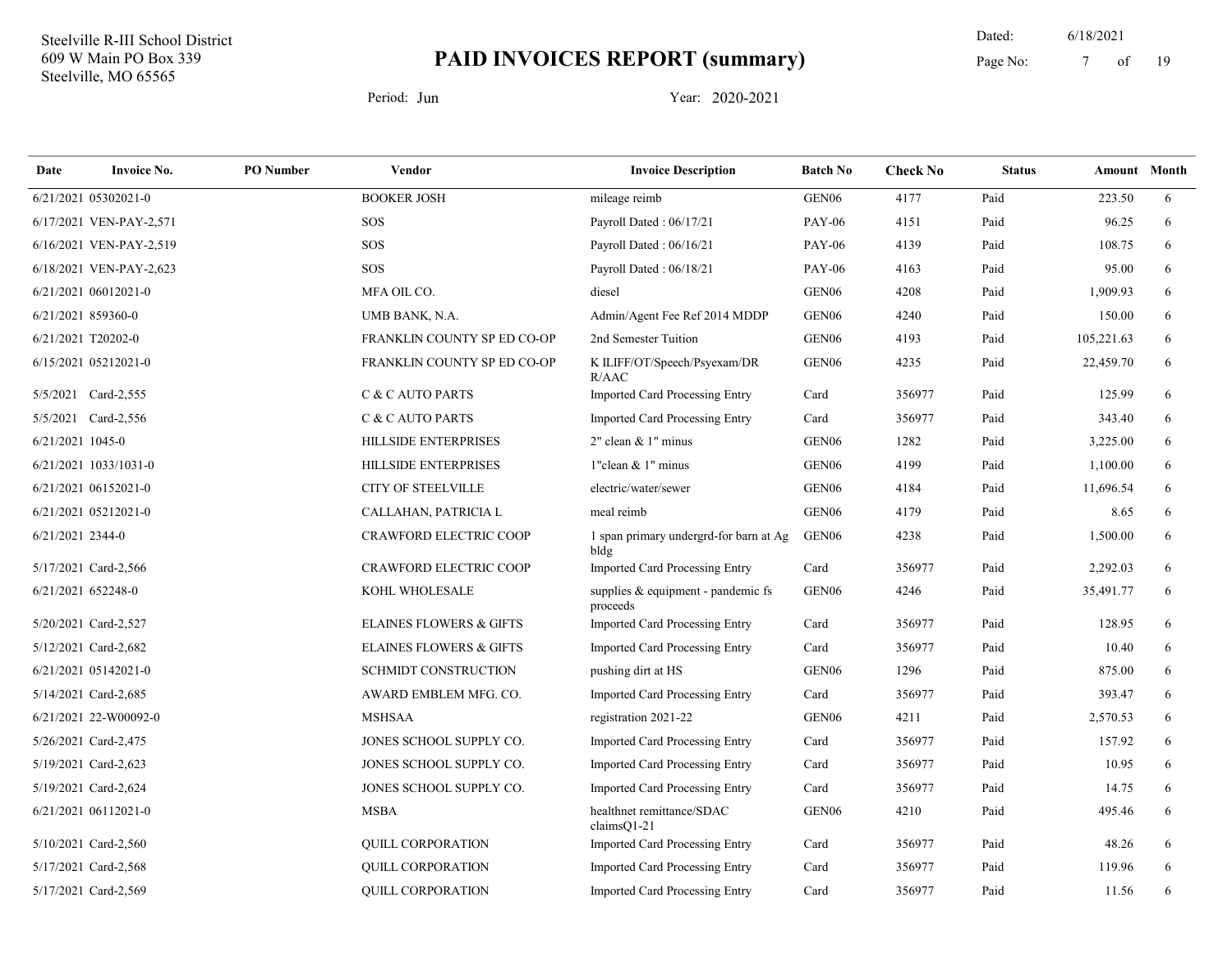19 Dated: 6/18/2021 Page No: 7 of

| Date               | <b>Invoice No.</b>      | <b>PO</b> Number | <b>Vendor</b>                      | <b>Invoice Description</b>                     | <b>Batch No</b>   | <b>Check No</b> | <b>Status</b> | Amount Month |   |
|--------------------|-------------------------|------------------|------------------------------------|------------------------------------------------|-------------------|-----------------|---------------|--------------|---|
|                    | 6/21/2021 05302021-0    |                  | <b>BOOKER JOSH</b>                 | mileage reimb                                  | GEN <sub>06</sub> | 4177            | Paid          | 223.50       | 6 |
|                    | 6/17/2021 VEN-PAY-2,571 |                  | SOS                                | Payroll Dated: 06/17/21                        | <b>PAY-06</b>     | 4151            | Paid          | 96.25        | 6 |
|                    | 6/16/2021 VEN-PAY-2,519 |                  | SOS                                | Payroll Dated: 06/16/21                        | <b>PAY-06</b>     | 4139            | Paid          | 108.75       | 6 |
|                    | 6/18/2021 VEN-PAY-2,623 |                  | SOS                                | Payroll Dated: 06/18/21                        | <b>PAY-06</b>     | 4163            | Paid          | 95.00        | 6 |
|                    | 6/21/2021 06012021-0    |                  | MFA OIL CO.                        | diesel                                         | GEN <sub>06</sub> | 4208            | Paid          | 1,909.93     | 6 |
| 6/21/2021 859360-0 |                         |                  | UMB BANK, N.A.                     | Admin/Agent Fee Ref 2014 MDDP                  | GEN <sub>06</sub> | 4240            | Paid          | 150.00       | 6 |
|                    | 6/21/2021 T20202-0      |                  | FRANKLIN COUNTY SP ED CO-OP        | 2nd Semester Tuition                           | GEN <sub>06</sub> | 4193            | Paid          | 105,221.63   | 6 |
|                    | 6/15/2021 05212021-0    |                  | FRANKLIN COUNTY SP ED CO-OP        | K ILIFF/OT/Speech/Psyexam/DR<br>R/AAC          | GEN <sub>06</sub> | 4235            | Paid          | 22,459.70    | 6 |
|                    | 5/5/2021 Card-2,555     |                  | C & C AUTO PARTS                   | Imported Card Processing Entry                 | Card              | 356977          | Paid          | 125.99       | 6 |
|                    | 5/5/2021 Card-2,556     |                  | C & C AUTO PARTS                   | <b>Imported Card Processing Entry</b>          | Card              | 356977          | Paid          | 343.40       | 6 |
| 6/21/2021 1045-0   |                         |                  | <b>HILLSIDE ENTERPRISES</b>        | $2$ " clean & 1" minus                         | GEN <sub>06</sub> | 1282            | Paid          | 3,225.00     | 6 |
|                    | 6/21/2021 1033/1031-0   |                  | <b>HILLSIDE ENTERPRISES</b>        | 1"clean & 1" minus                             | GEN <sub>06</sub> | 4199            | Paid          | 1,100.00     | 6 |
|                    | 6/21/2021 06152021-0    |                  | <b>CITY OF STEELVILLE</b>          | electric/water/sewer                           | GEN <sub>06</sub> | 4184            | Paid          | 11,696.54    | 6 |
|                    | 6/21/2021 05212021-0    |                  | CALLAHAN, PATRICIA L               | meal reimb                                     | GEN <sub>06</sub> | 4179            | Paid          | 8.65         | 6 |
| 6/21/2021 2344-0   |                         |                  | <b>CRAWFORD ELECTRIC COOP</b>      | 1 span primary undergrd-for barn at Ag<br>bldg | GEN <sub>06</sub> | 4238            | Paid          | 1,500.00     | 6 |
|                    | 5/17/2021 Card-2,566    |                  | <b>CRAWFORD ELECTRIC COOP</b>      | Imported Card Processing Entry                 | Card              | 356977          | Paid          | 2,292.03     | 6 |
| 6/21/2021 652248-0 |                         |                  | KOHL WHOLESALE                     | supplies & equipment - pandemic fs<br>proceeds | GEN <sub>06</sub> | 4246            | Paid          | 35,491.77    | 6 |
|                    | 5/20/2021 Card-2,527    |                  | <b>ELAINES FLOWERS &amp; GIFTS</b> | <b>Imported Card Processing Entry</b>          | Card              | 356977          | Paid          | 128.95       | 6 |
|                    | 5/12/2021 Card-2,682    |                  | <b>ELAINES FLOWERS &amp; GIFTS</b> | Imported Card Processing Entry                 | Card              | 356977          | Paid          | 10.40        | 6 |
|                    | 6/21/2021 05142021-0    |                  | <b>SCHMIDT CONSTRUCTION</b>        | pushing dirt at HS                             | GEN <sub>06</sub> | 1296            | Paid          | 875.00       | 6 |
|                    | 5/14/2021 Card-2,685    |                  | AWARD EMBLEM MFG. CO.              | <b>Imported Card Processing Entry</b>          | Card              | 356977          | Paid          | 393.47       | 6 |
|                    | 6/21/2021 22-W00092-0   |                  | <b>MSHSAA</b>                      | registration 2021-22                           | GEN <sub>06</sub> | 4211            | Paid          | 2,570.53     | 6 |
|                    | 5/26/2021 Card-2,475    |                  | JONES SCHOOL SUPPLY CO.            | <b>Imported Card Processing Entry</b>          | Card              | 356977          | Paid          | 157.92       | 6 |
|                    | 5/19/2021 Card-2,623    |                  | JONES SCHOOL SUPPLY CO.            | Imported Card Processing Entry                 | Card              | 356977          | Paid          | 10.95        | 6 |
|                    | 5/19/2021 Card-2,624    |                  | JONES SCHOOL SUPPLY CO.            | <b>Imported Card Processing Entry</b>          | Card              | 356977          | Paid          | 14.75        | 6 |
|                    | 6/21/2021 06112021-0    |                  | <b>MSBA</b>                        | healthnet remittance/SDAC<br>$clainsQ1-21$     | GEN <sub>06</sub> | 4210            | Paid          | 495.46       | 6 |
|                    | 5/10/2021 Card-2,560    |                  | <b>QUILL CORPORATION</b>           | Imported Card Processing Entry                 | Card              | 356977          | Paid          | 48.26        | 6 |
|                    | 5/17/2021 Card-2,568    |                  | <b>QUILL CORPORATION</b>           | <b>Imported Card Processing Entry</b>          | Card              | 356977          | Paid          | 119.96       | 6 |
|                    | 5/17/2021 Card-2,569    |                  | <b>QUILL CORPORATION</b>           | <b>Imported Card Processing Entry</b>          | Card              | 356977          | Paid          | 11.56        | 6 |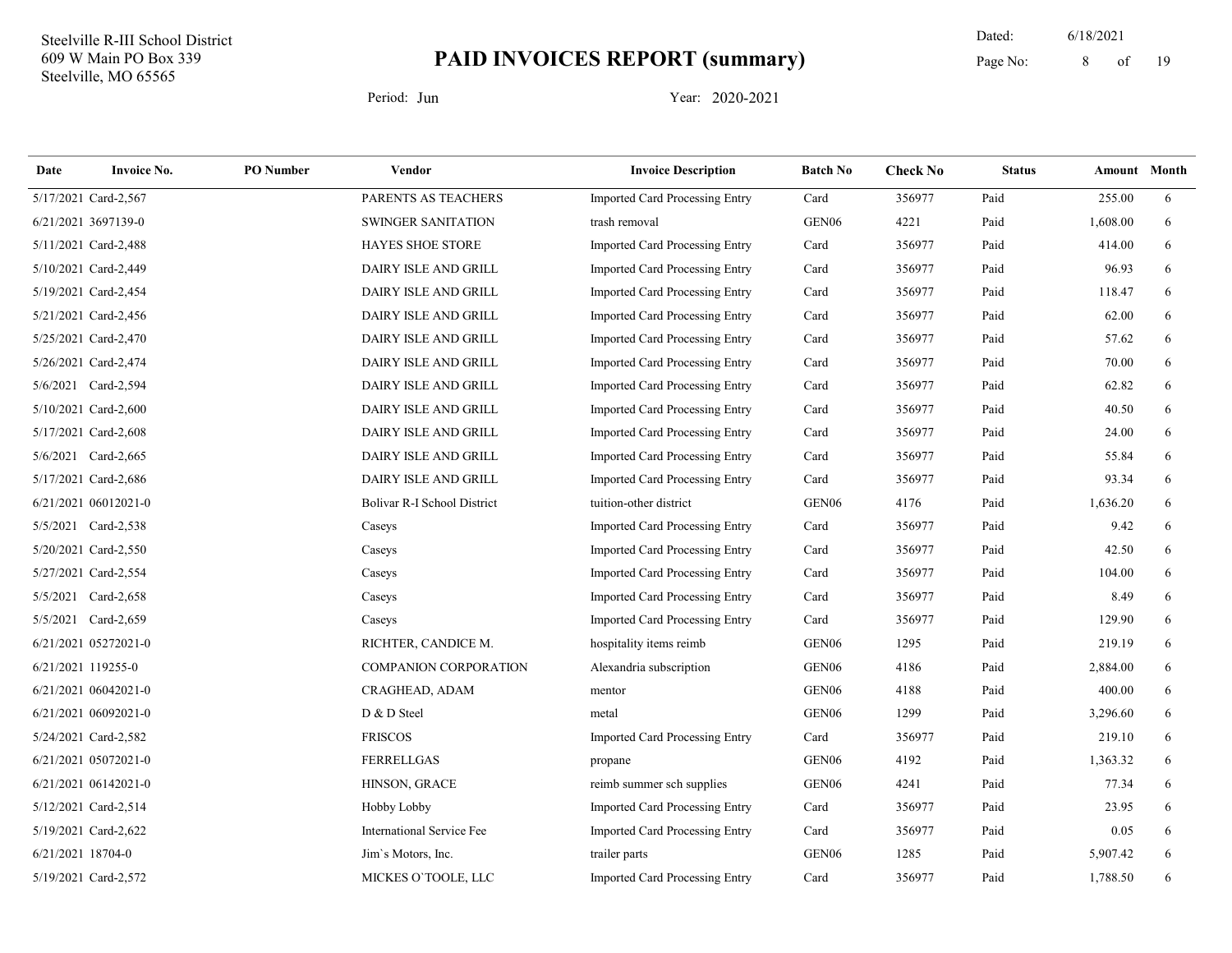19 Dated: 6/18/2021 Page No: 8 of

| Date                 | <b>Invoice No.</b>   | <b>PO</b> Number | Vendor                             | <b>Invoice Description</b>            | <b>Batch No</b>   | <b>Check No</b> | <b>Status</b> | Amount Month |   |
|----------------------|----------------------|------------------|------------------------------------|---------------------------------------|-------------------|-----------------|---------------|--------------|---|
| 5/17/2021 Card-2,567 |                      |                  | PARENTS AS TEACHERS                | Imported Card Processing Entry        | Card              | 356977          | Paid          | 255.00       | 6 |
| 6/21/2021 3697139-0  |                      |                  | SWINGER SANITATION                 | trash removal                         | GEN <sub>06</sub> | 4221            | Paid          | 1,608.00     | 6 |
| 5/11/2021 Card-2,488 |                      |                  | <b>HAYES SHOE STORE</b>            | Imported Card Processing Entry        | Card              | 356977          | Paid          | 414.00       | 6 |
| 5/10/2021 Card-2,449 |                      |                  | DAIRY ISLE AND GRILL               | <b>Imported Card Processing Entry</b> | Card              | 356977          | Paid          | 96.93        | 6 |
| 5/19/2021 Card-2,454 |                      |                  | DAIRY ISLE AND GRILL               | <b>Imported Card Processing Entry</b> | Card              | 356977          | Paid          | 118.47       | 6 |
| 5/21/2021 Card-2,456 |                      |                  | DAIRY ISLE AND GRILL               | Imported Card Processing Entry        | Card              | 356977          | Paid          | 62.00        | 6 |
| 5/25/2021 Card-2,470 |                      |                  | DAIRY ISLE AND GRILL               | <b>Imported Card Processing Entry</b> | Card              | 356977          | Paid          | 57.62        | 6 |
| 5/26/2021 Card-2,474 |                      |                  | DAIRY ISLE AND GRILL               | Imported Card Processing Entry        | Card              | 356977          | Paid          | 70.00        | 6 |
|                      | 5/6/2021 Card-2,594  |                  | DAIRY ISLE AND GRILL               | Imported Card Processing Entry        | Card              | 356977          | Paid          | 62.82        | 6 |
|                      | 5/10/2021 Card-2,600 |                  | DAIRY ISLE AND GRILL               | <b>Imported Card Processing Entry</b> | Card              | 356977          | Paid          | 40.50        | 6 |
|                      | 5/17/2021 Card-2,608 |                  | DAIRY ISLE AND GRILL               | Imported Card Processing Entry        | Card              | 356977          | Paid          | 24.00        | 6 |
| 5/6/2021 Card-2,665  |                      |                  | DAIRY ISLE AND GRILL               | Imported Card Processing Entry        | Card              | 356977          | Paid          | 55.84        | 6 |
| 5/17/2021 Card-2,686 |                      |                  | DAIRY ISLE AND GRILL               | Imported Card Processing Entry        | Card              | 356977          | Paid          | 93.34        | 6 |
|                      | 6/21/2021 06012021-0 |                  | <b>Bolivar R-I School District</b> | tuition-other district                | GEN <sub>06</sub> | 4176            | Paid          | 1,636.20     | 6 |
|                      | 5/5/2021 Card-2,538  |                  | Caseys                             | <b>Imported Card Processing Entry</b> | Card              | 356977          | Paid          | 9.42         | 6 |
|                      | 5/20/2021 Card-2,550 |                  | Caseys                             | Imported Card Processing Entry        | Card              | 356977          | Paid          | 42.50        | 6 |
|                      | 5/27/2021 Card-2,554 |                  | Caseys                             | Imported Card Processing Entry        | Card              | 356977          | Paid          | 104.00       | 6 |
|                      | 5/5/2021 Card-2,658  |                  | Caseys                             | Imported Card Processing Entry        | Card              | 356977          | Paid          | 8.49         | 6 |
|                      | 5/5/2021 Card-2,659  |                  | Caseys                             | Imported Card Processing Entry        | Card              | 356977          | Paid          | 129.90       | 6 |
|                      | 6/21/2021 05272021-0 |                  | RICHTER, CANDICE M.                | hospitality items reimb               | GEN <sub>06</sub> | 1295            | Paid          | 219.19       | 6 |
| 6/21/2021 119255-0   |                      |                  | <b>COMPANION CORPORATION</b>       | Alexandria subscription               | GEN <sub>06</sub> | 4186            | Paid          | 2,884.00     | 6 |
|                      | 6/21/2021 06042021-0 |                  | CRAGHEAD, ADAM                     | mentor                                | GEN <sub>06</sub> | 4188            | Paid          | 400.00       | 6 |
|                      | 6/21/2021 06092021-0 |                  | D & D Steel                        | metal                                 | GEN <sub>06</sub> | 1299            | Paid          | 3,296.60     | 6 |
| 5/24/2021 Card-2,582 |                      |                  | <b>FRISCOS</b>                     | Imported Card Processing Entry        | Card              | 356977          | Paid          | 219.10       | 6 |
|                      | 6/21/2021 05072021-0 |                  | <b>FERRELLGAS</b>                  | propane                               | GEN <sub>06</sub> | 4192            | Paid          | 1,363.32     | 6 |
|                      | 6/21/2021 06142021-0 |                  | HINSON, GRACE                      | reimb summer sch supplies             | GEN <sub>06</sub> | 4241            | Paid          | 77.34        | 6 |
| 5/12/2021 Card-2,514 |                      |                  | Hobby Lobby                        | Imported Card Processing Entry        | Card              | 356977          | Paid          | 23.95        | 6 |
| 5/19/2021 Card-2,622 |                      |                  | <b>International Service Fee</b>   | Imported Card Processing Entry        | Card              | 356977          | Paid          | 0.05         | 6 |
| 6/21/2021 18704-0    |                      |                  | Jim's Motors, Inc.                 | trailer parts                         | GEN <sub>06</sub> | 1285            | Paid          | 5,907.42     | 6 |
|                      | 5/19/2021 Card-2,572 |                  | MICKES O'TOOLE, LLC                | <b>Imported Card Processing Entry</b> | Card              | 356977          | Paid          | 1,788.50     | 6 |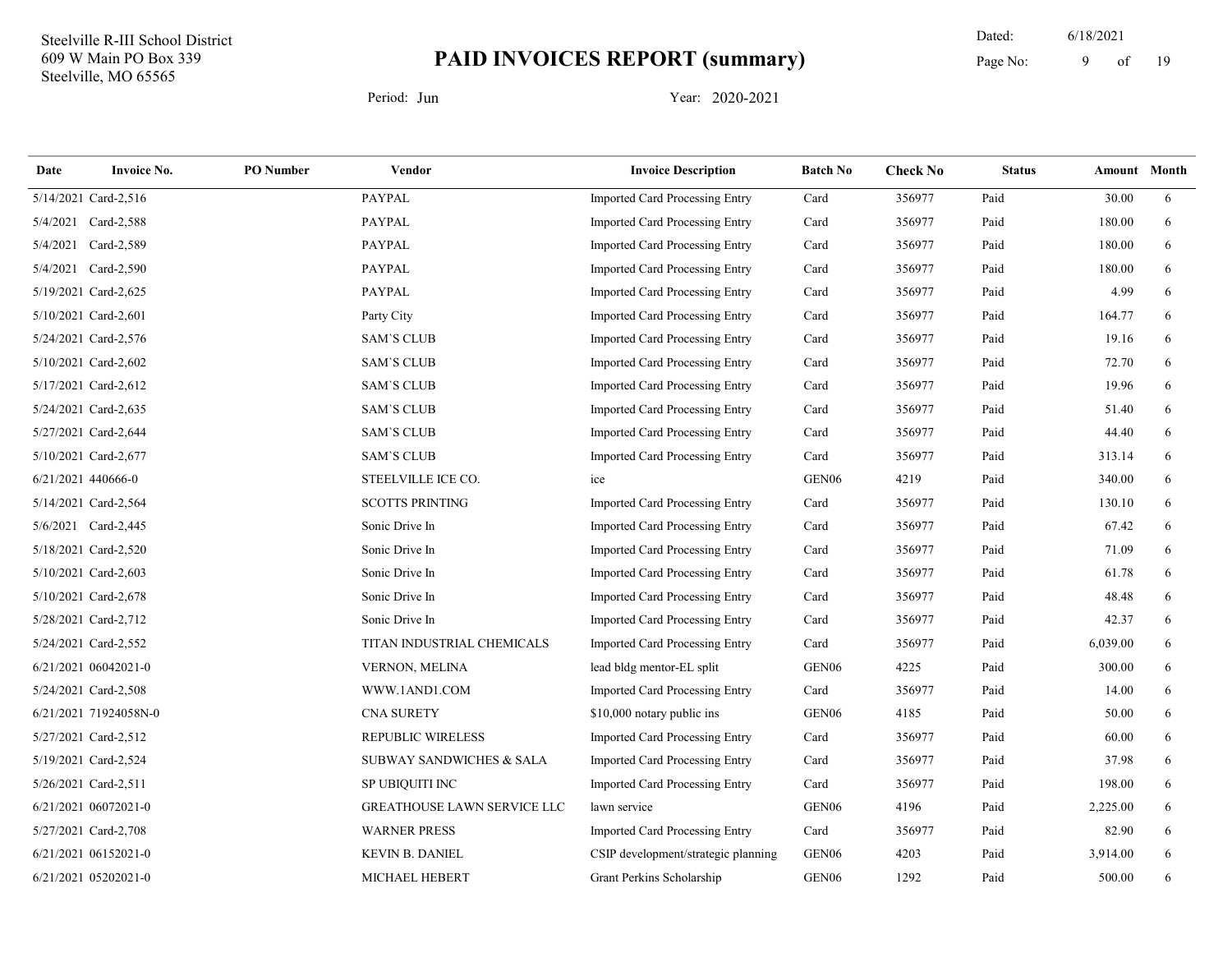19 Dated: 6/18/2021 Page No: 9 of

| Date               | <b>Invoice No.</b>    | <b>PO</b> Number | Vendor                             | <b>Invoice Description</b>            | <b>Batch No</b>   | <b>Check No</b> | <b>Status</b> | Amount Month |   |
|--------------------|-----------------------|------------------|------------------------------------|---------------------------------------|-------------------|-----------------|---------------|--------------|---|
|                    | 5/14/2021 Card-2,516  |                  | <b>PAYPAL</b>                      | Imported Card Processing Entry        | Card              | 356977          | Paid          | 30.00        | 6 |
|                    | 5/4/2021 Card-2,588   |                  | <b>PAYPAL</b>                      | <b>Imported Card Processing Entry</b> | Card              | 356977          | Paid          | 180.00       | 6 |
|                    | 5/4/2021 Card-2,589   |                  | <b>PAYPAL</b>                      | Imported Card Processing Entry        | Card              | 356977          | Paid          | 180.00       | 6 |
|                    | 5/4/2021 Card-2,590   |                  | <b>PAYPAL</b>                      | Imported Card Processing Entry        | Card              | 356977          | Paid          | 180.00       | 6 |
|                    | 5/19/2021 Card-2,625  |                  | <b>PAYPAL</b>                      | <b>Imported Card Processing Entry</b> | Card              | 356977          | Paid          | 4.99         | 6 |
|                    | 5/10/2021 Card-2,601  |                  | Party City                         | Imported Card Processing Entry        | Card              | 356977          | Paid          | 164.77       | 6 |
|                    | 5/24/2021 Card-2,576  |                  | <b>SAM'S CLUB</b>                  | Imported Card Processing Entry        | Card              | 356977          | Paid          | 19.16        | 6 |
|                    | 5/10/2021 Card-2,602  |                  | <b>SAM'S CLUB</b>                  | Imported Card Processing Entry        | Card              | 356977          | Paid          | 72.70        | 6 |
|                    | 5/17/2021 Card-2,612  |                  | <b>SAM'S CLUB</b>                  | Imported Card Processing Entry        | Card              | 356977          | Paid          | 19.96        | 6 |
|                    | 5/24/2021 Card-2,635  |                  | <b>SAM'S CLUB</b>                  | Imported Card Processing Entry        | Card              | 356977          | Paid          | 51.40        | 6 |
|                    | 5/27/2021 Card-2,644  |                  | <b>SAM'S CLUB</b>                  | Imported Card Processing Entry        | Card              | 356977          | Paid          | 44.40        | 6 |
|                    | 5/10/2021 Card-2,677  |                  | <b>SAM'S CLUB</b>                  | Imported Card Processing Entry        | Card              | 356977          | Paid          | 313.14       | 6 |
| 6/21/2021 440666-0 |                       |                  | STEELVILLE ICE CO.                 | ice                                   | GEN <sub>06</sub> | 4219            | Paid          | 340.00       | 6 |
|                    | 5/14/2021 Card-2,564  |                  | <b>SCOTTS PRINTING</b>             | Imported Card Processing Entry        | Card              | 356977          | Paid          | 130.10       | 6 |
|                    | 5/6/2021 Card-2,445   |                  | Sonic Drive In                     | Imported Card Processing Entry        | Card              | 356977          | Paid          | 67.42        | 6 |
|                    | 5/18/2021 Card-2,520  |                  | Sonic Drive In                     | Imported Card Processing Entry        | Card              | 356977          | Paid          | 71.09        | 6 |
|                    | 5/10/2021 Card-2,603  |                  | Sonic Drive In                     | <b>Imported Card Processing Entry</b> | Card              | 356977          | Paid          | 61.78        | 6 |
|                    | 5/10/2021 Card-2,678  |                  | Sonic Drive In                     | Imported Card Processing Entry        | Card              | 356977          | Paid          | 48.48        | 6 |
|                    | 5/28/2021 Card-2,712  |                  | Sonic Drive In                     | Imported Card Processing Entry        | Card              | 356977          | Paid          | 42.37        | 6 |
|                    | 5/24/2021 Card-2,552  |                  | TITAN INDUSTRIAL CHEMICALS         | Imported Card Processing Entry        | Card              | 356977          | Paid          | 6,039.00     | 6 |
|                    | 6/21/2021 06042021-0  |                  | VERNON, MELINA                     | lead bldg mentor-EL split             | GEN <sub>06</sub> | 4225            | Paid          | 300.00       | 6 |
|                    | 5/24/2021 Card-2,508  |                  | WWW.1AND1.COM                      | Imported Card Processing Entry        | Card              | 356977          | Paid          | 14.00        | 6 |
|                    | 6/21/2021 71924058N-0 |                  | <b>CNA SURETY</b>                  | \$10,000 notary public ins            | GEN <sub>06</sub> | 4185            | Paid          | 50.00        | 6 |
|                    | 5/27/2021 Card-2,512  |                  | <b>REPUBLIC WIRELESS</b>           | Imported Card Processing Entry        | Card              | 356977          | Paid          | 60.00        | 6 |
|                    | 5/19/2021 Card-2,524  |                  | SUBWAY SANDWICHES & SALA           | Imported Card Processing Entry        | Card              | 356977          | Paid          | 37.98        | 6 |
|                    | 5/26/2021 Card-2,511  |                  | SP UBIQUITI INC                    | Imported Card Processing Entry        | Card              | 356977          | Paid          | 198.00       | 6 |
|                    | 6/21/2021 06072021-0  |                  | <b>GREATHOUSE LAWN SERVICE LLC</b> | lawn service                          | GEN <sub>06</sub> | 4196            | Paid          | 2,225.00     | 6 |
|                    | 5/27/2021 Card-2,708  |                  | <b>WARNER PRESS</b>                | Imported Card Processing Entry        | Card              | 356977          | Paid          | 82.90        | 6 |
|                    | 6/21/2021 06152021-0  |                  | <b>KEVIN B. DANIEL</b>             | CSIP development/strategic planning   | GEN <sub>06</sub> | 4203            | Paid          | 3,914.00     | 6 |
|                    | 6/21/2021 05202021-0  |                  | MICHAEL HEBERT                     | Grant Perkins Scholarship             | GEN06             | 1292            | Paid          | 500.00       | 6 |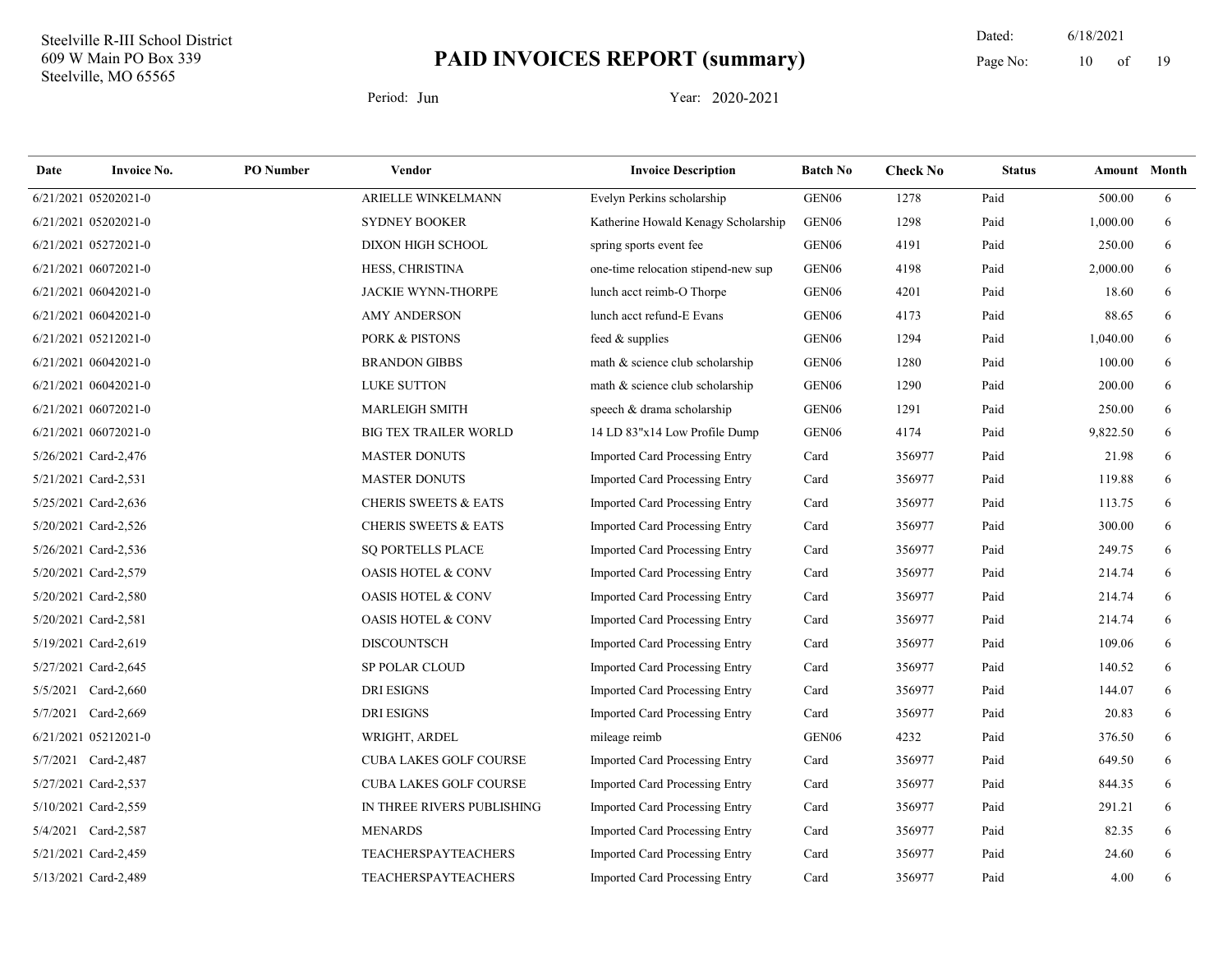19 Dated: 6/18/2021 Page No:  $10$  of

| Date | <b>Invoice No.</b>   | <b>PO</b> Number | Vendor                          | <b>Invoice Description</b>            | <b>Batch No</b>   | <b>Check No</b> | <b>Status</b> | Amount Month |   |
|------|----------------------|------------------|---------------------------------|---------------------------------------|-------------------|-----------------|---------------|--------------|---|
|      | 6/21/2021 05202021-0 |                  | ARIELLE WINKELMANN              | Evelyn Perkins scholarship            | GEN <sub>06</sub> | 1278            | Paid          | 500.00       | 6 |
|      | 6/21/2021 05202021-0 |                  | <b>SYDNEY BOOKER</b>            | Katherine Howald Kenagy Scholarship   | GEN <sub>06</sub> | 1298            | Paid          | 1,000.00     | 6 |
|      | 6/21/2021 05272021-0 |                  | DIXON HIGH SCHOOL               | spring sports event fee               | GEN <sub>06</sub> | 4191            | Paid          | 250.00       | 6 |
|      | 6/21/2021 06072021-0 |                  | HESS, CHRISTINA                 | one-time relocation stipend-new sup   | GEN <sub>06</sub> | 4198            | Paid          | 2,000.00     | 6 |
|      | 6/21/2021 06042021-0 |                  | <b>JACKIE WYNN-THORPE</b>       | lunch acct reimb-O Thorpe             | GEN <sub>06</sub> | 4201            | Paid          | 18.60        | 6 |
|      | 6/21/2021 06042021-0 |                  | <b>AMY ANDERSON</b>             | lunch acct refund-E Evans             | GEN <sub>06</sub> | 4173            | Paid          | 88.65        | 6 |
|      | 6/21/2021 05212021-0 |                  | <b>PORK &amp; PISTONS</b>       | feed & supplies                       | GEN <sub>06</sub> | 1294            | Paid          | 1,040.00     | 6 |
|      | 6/21/2021 06042021-0 |                  | <b>BRANDON GIBBS</b>            | math & science club scholarship       | GEN <sub>06</sub> | 1280            | Paid          | 100.00       | 6 |
|      | 6/21/2021 06042021-0 |                  | <b>LUKE SUTTON</b>              | math & science club scholarship       | GEN <sub>06</sub> | 1290            | Paid          | 200.00       | 6 |
|      | 6/21/2021 06072021-0 |                  | <b>MARLEIGH SMITH</b>           | speech & drama scholarship            | GEN06             | 1291            | Paid          | 250.00       | 6 |
|      | 6/21/2021 06072021-0 |                  | <b>BIG TEX TRAILER WORLD</b>    | 14 LD 83"x14 Low Profile Dump         | GEN <sub>06</sub> | 4174            | Paid          | 9,822.50     | 6 |
|      | 5/26/2021 Card-2,476 |                  | <b>MASTER DONUTS</b>            | Imported Card Processing Entry        | Card              | 356977          | Paid          | 21.98        | 6 |
|      | 5/21/2021 Card-2,531 |                  | <b>MASTER DONUTS</b>            | Imported Card Processing Entry        | Card              | 356977          | Paid          | 119.88       | 6 |
|      | 5/25/2021 Card-2,636 |                  | <b>CHERIS SWEETS &amp; EATS</b> | Imported Card Processing Entry        | Card              | 356977          | Paid          | 113.75       | 6 |
|      | 5/20/2021 Card-2,526 |                  | <b>CHERIS SWEETS &amp; EATS</b> | <b>Imported Card Processing Entry</b> | Card              | 356977          | Paid          | 300.00       | 6 |
|      | 5/26/2021 Card-2,536 |                  | <b>SQ PORTELLS PLACE</b>        | <b>Imported Card Processing Entry</b> | Card              | 356977          | Paid          | 249.75       | 6 |
|      | 5/20/2021 Card-2,579 |                  | <b>OASIS HOTEL &amp; CONV</b>   | Imported Card Processing Entry        | Card              | 356977          | Paid          | 214.74       | 6 |
|      | 5/20/2021 Card-2,580 |                  | <b>OASIS HOTEL &amp; CONV</b>   | Imported Card Processing Entry        | Card              | 356977          | Paid          | 214.74       | 6 |
|      | 5/20/2021 Card-2,581 |                  | <b>OASIS HOTEL &amp; CONV</b>   | Imported Card Processing Entry        | Card              | 356977          | Paid          | 214.74       | 6 |
|      | 5/19/2021 Card-2,619 |                  | <b>DISCOUNTSCH</b>              | Imported Card Processing Entry        | Card              | 356977          | Paid          | 109.06       | 6 |
|      | 5/27/2021 Card-2,645 |                  | SP POLAR CLOUD                  | Imported Card Processing Entry        | Card              | 356977          | Paid          | 140.52       | 6 |
|      | 5/5/2021 Card-2,660  |                  | <b>DRI ESIGNS</b>               | Imported Card Processing Entry        | Card              | 356977          | Paid          | 144.07       | 6 |
|      | 5/7/2021 Card-2,669  |                  | <b>DRI ESIGNS</b>               | <b>Imported Card Processing Entry</b> | Card              | 356977          | Paid          | 20.83        | 6 |
|      | 6/21/2021 05212021-0 |                  | WRIGHT, ARDEL                   | mileage reimb                         | GEN <sub>06</sub> | 4232            | Paid          | 376.50       | 6 |
|      | 5/7/2021 Card-2,487  |                  | <b>CUBA LAKES GOLF COURSE</b>   | Imported Card Processing Entry        | Card              | 356977          | Paid          | 649.50       | 6 |
|      | 5/27/2021 Card-2,537 |                  | <b>CUBA LAKES GOLF COURSE</b>   | Imported Card Processing Entry        | Card              | 356977          | Paid          | 844.35       | 6 |
|      | 5/10/2021 Card-2,559 |                  | IN THREE RIVERS PUBLISHING      | <b>Imported Card Processing Entry</b> | Card              | 356977          | Paid          | 291.21       | 6 |
|      | 5/4/2021 Card-2,587  |                  | <b>MENARDS</b>                  | Imported Card Processing Entry        | Card              | 356977          | Paid          | 82.35        | 6 |
|      | 5/21/2021 Card-2,459 |                  | <b>TEACHERSPAYTEACHERS</b>      | Imported Card Processing Entry        | Card              | 356977          | Paid          | 24.60        | 6 |
|      | 5/13/2021 Card-2,489 |                  | <b>TEACHERSPAYTEACHERS</b>      | Imported Card Processing Entry        | Card              | 356977          | Paid          | 4.00         | 6 |
|      |                      |                  |                                 |                                       |                   |                 |               |              |   |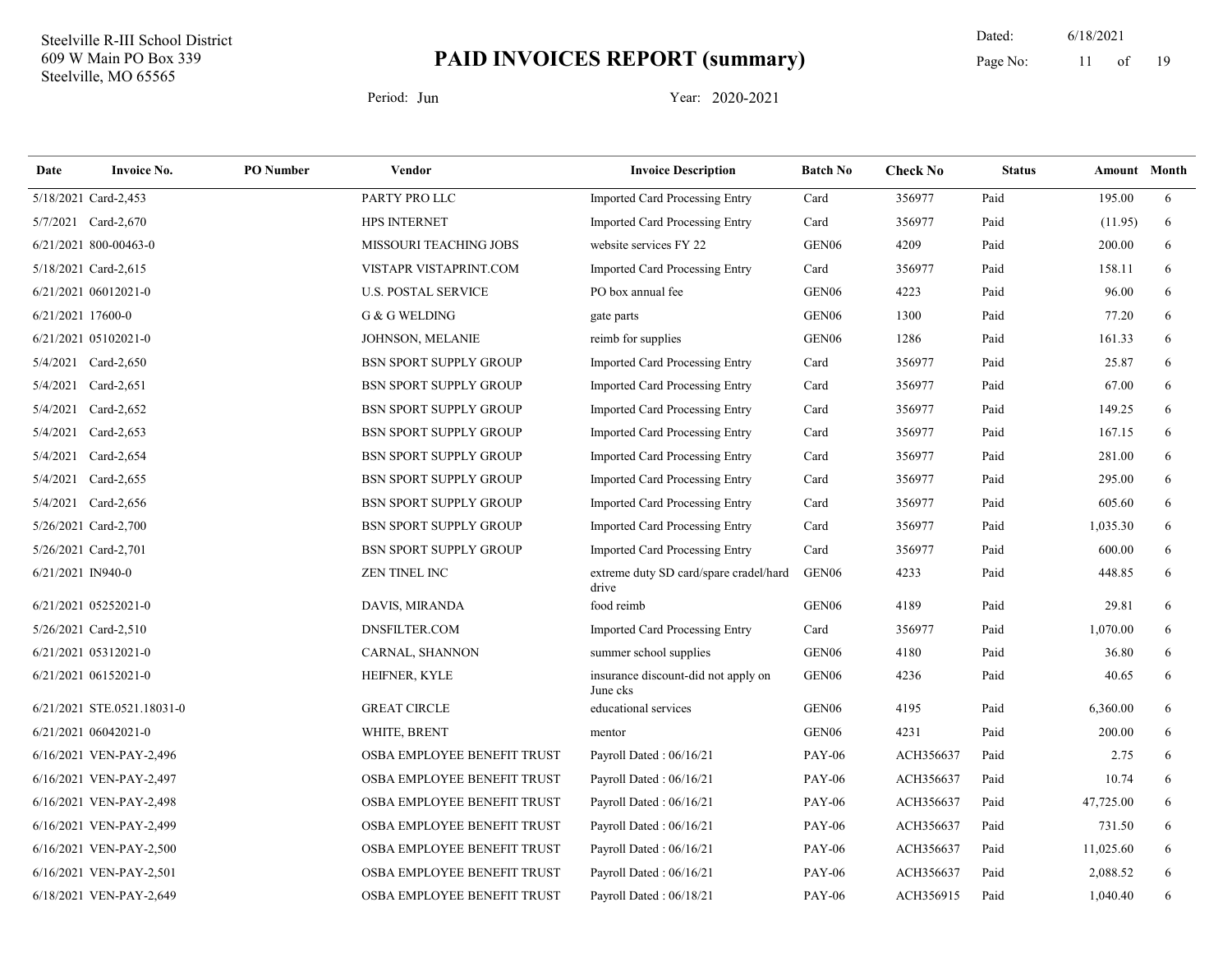19 Dated: 6/18/2021 Page No: 11 of

| Date              | <b>Invoice No.</b>         | <b>PO</b> Number | Vendor                        | <b>Invoice Description</b>                      | <b>Batch No</b>   | <b>Check No</b> | <b>Status</b> | <b>Amount</b> Month |   |
|-------------------|----------------------------|------------------|-------------------------------|-------------------------------------------------|-------------------|-----------------|---------------|---------------------|---|
|                   | 5/18/2021 Card-2,453       |                  | PARTY PRO LLC                 | <b>Imported Card Processing Entry</b>           | Card              | 356977          | Paid          | 195.00              | 6 |
|                   | 5/7/2021 Card-2,670        |                  | <b>HPS INTERNET</b>           | Imported Card Processing Entry                  | Card              | 356977          | Paid          | (11.95)             | 6 |
|                   | 6/21/2021 800-00463-0      |                  | <b>MISSOURI TEACHING JOBS</b> | website services FY 22                          | GEN <sub>06</sub> | 4209            | Paid          | 200.00              | 6 |
|                   | 5/18/2021 Card-2,615       |                  | VISTAPR VISTAPRINT.COM        | <b>Imported Card Processing Entry</b>           | Card              | 356977          | Paid          | 158.11              | 6 |
|                   | 6/21/2021 06012021-0       |                  | <b>U.S. POSTAL SERVICE</b>    | PO box annual fee                               | GEN <sub>06</sub> | 4223            | Paid          | 96.00               | 6 |
| 6/21/2021 17600-0 |                            |                  | G & G WELDING                 | gate parts                                      | GEN <sub>06</sub> | 1300            | Paid          | 77.20               | 6 |
|                   | 6/21/2021 05102021-0       |                  | <b>JOHNSON, MELANIE</b>       | reimb for supplies                              | GEN <sub>06</sub> | 1286            | Paid          | 161.33              | 6 |
|                   | 5/4/2021 Card-2,650        |                  | <b>BSN SPORT SUPPLY GROUP</b> | <b>Imported Card Processing Entry</b>           | Card              | 356977          | Paid          | 25.87               | 6 |
|                   | 5/4/2021 Card-2,651        |                  | <b>BSN SPORT SUPPLY GROUP</b> | Imported Card Processing Entry                  | Card              | 356977          | Paid          | 67.00               | 6 |
|                   | 5/4/2021 Card-2,652        |                  | <b>BSN SPORT SUPPLY GROUP</b> | <b>Imported Card Processing Entry</b>           | Card              | 356977          | Paid          | 149.25              | 6 |
|                   | 5/4/2021 Card-2,653        |                  | <b>BSN SPORT SUPPLY GROUP</b> | Imported Card Processing Entry                  | Card              | 356977          | Paid          | 167.15              | 6 |
|                   | 5/4/2021 Card-2,654        |                  | <b>BSN SPORT SUPPLY GROUP</b> | <b>Imported Card Processing Entry</b>           | Card              | 356977          | Paid          | 281.00              | 6 |
|                   | 5/4/2021 Card-2,655        |                  | <b>BSN SPORT SUPPLY GROUP</b> | <b>Imported Card Processing Entry</b>           | Card              | 356977          | Paid          | 295.00              | 6 |
|                   | 5/4/2021 Card-2,656        |                  | <b>BSN SPORT SUPPLY GROUP</b> | <b>Imported Card Processing Entry</b>           | Card              | 356977          | Paid          | 605.60              | 6 |
|                   | 5/26/2021 Card-2,700       |                  | <b>BSN SPORT SUPPLY GROUP</b> | Imported Card Processing Entry                  | Card              | 356977          | Paid          | 1,035.30            | 6 |
|                   | 5/26/2021 Card-2,701       |                  | <b>BSN SPORT SUPPLY GROUP</b> | Imported Card Processing Entry                  | Card              | 356977          | Paid          | 600.00              | 6 |
| 6/21/2021 IN940-0 |                            |                  | <b>ZEN TINEL INC</b>          | extreme duty SD card/spare cradel/hard<br>drive | GEN <sub>06</sub> | 4233            | Paid          | 448.85              | 6 |
|                   | 6/21/2021 05252021-0       |                  | DAVIS, MIRANDA                | food reimb                                      | GEN <sub>06</sub> | 4189            | Paid          | 29.81               | 6 |
|                   | 5/26/2021 Card-2,510       |                  | DNSFILTER.COM                 | <b>Imported Card Processing Entry</b>           | Card              | 356977          | Paid          | 1,070.00            | 6 |
|                   | 6/21/2021 05312021-0       |                  | CARNAL, SHANNON               | summer school supplies                          | GEN <sub>06</sub> | 4180            | Paid          | 36.80               | 6 |
|                   | 6/21/2021 06152021-0       |                  | HEIFNER, KYLE                 | insurance discount-did not apply on<br>June cks | GEN <sub>06</sub> | 4236            | Paid          | 40.65               | 6 |
|                   | 6/21/2021 STE.0521.18031-0 |                  | <b>GREAT CIRCLE</b>           | educational services                            | GEN <sub>06</sub> | 4195            | Paid          | 6,360.00            | 6 |
|                   | 6/21/2021 06042021-0       |                  | WHITE, BRENT                  | mentor                                          | GEN <sub>06</sub> | 4231            | Paid          | 200.00              | 6 |
|                   | 6/16/2021 VEN-PAY-2,496    |                  | OSBA EMPLOYEE BENEFIT TRUST   | Payroll Dated: 06/16/21                         | <b>PAY-06</b>     | ACH356637       | Paid          | 2.75                | 6 |
|                   | 6/16/2021 VEN-PAY-2,497    |                  | OSBA EMPLOYEE BENEFIT TRUST   | Payroll Dated: 06/16/21                         | <b>PAY-06</b>     | ACH356637       | Paid          | 10.74               | 6 |
|                   | 6/16/2021 VEN-PAY-2,498    |                  | OSBA EMPLOYEE BENEFIT TRUST   | Payroll Dated: 06/16/21                         | <b>PAY-06</b>     | ACH356637       | Paid          | 47,725.00           | 6 |
|                   | 6/16/2021 VEN-PAY-2,499    |                  | OSBA EMPLOYEE BENEFIT TRUST   | Payroll Dated: 06/16/21                         | <b>PAY-06</b>     | ACH356637       | Paid          | 731.50              | 6 |
|                   | 6/16/2021 VEN-PAY-2,500    |                  | OSBA EMPLOYEE BENEFIT TRUST   | Payroll Dated: 06/16/21                         | <b>PAY-06</b>     | ACH356637       | Paid          | 11,025.60           | 6 |
|                   | 6/16/2021 VEN-PAY-2,501    |                  | OSBA EMPLOYEE BENEFIT TRUST   | Payroll Dated: 06/16/21                         | <b>PAY-06</b>     | ACH356637       | Paid          | 2,088.52            | 6 |
|                   | 6/18/2021 VEN-PAY-2,649    |                  | OSBA EMPLOYEE BENEFIT TRUST   | Payroll Dated: 06/18/21                         | <b>PAY-06</b>     | ACH356915       | Paid          | 1,040.40            | 6 |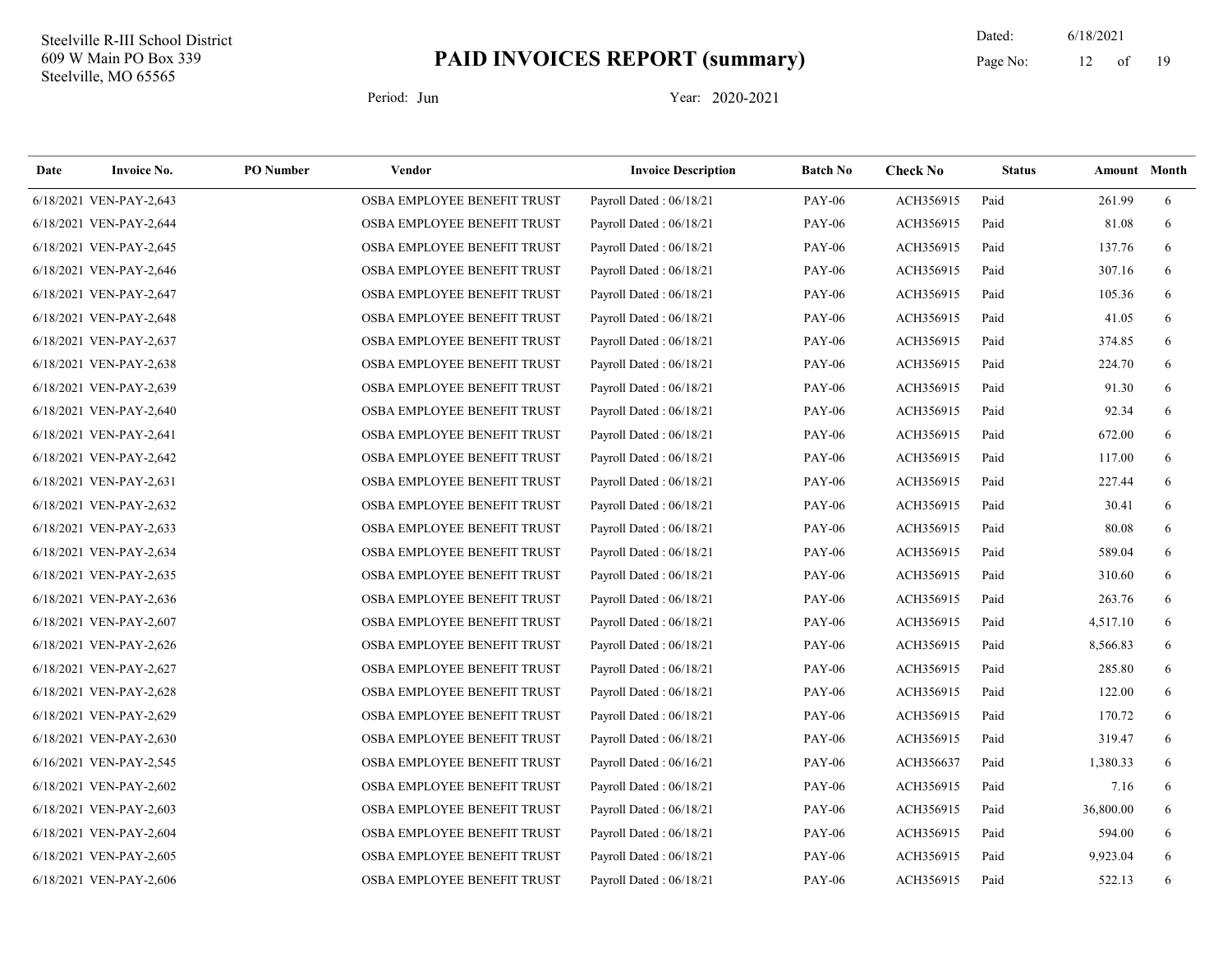19 Dated: 6/18/2021 Page No: 12 of

| Date | <b>Invoice No.</b>      | <b>PO</b> Number | Vendor                      | <b>Invoice Description</b> | <b>Batch No</b> | <b>Check No</b> | <b>Status</b> | <b>Amount</b> Month |   |
|------|-------------------------|------------------|-----------------------------|----------------------------|-----------------|-----------------|---------------|---------------------|---|
|      | 6/18/2021 VEN-PAY-2,643 |                  | OSBA EMPLOYEE BENEFIT TRUST | Payroll Dated: 06/18/21    | <b>PAY-06</b>   | ACH356915       | Paid          | 261.99              | 6 |
|      | 6/18/2021 VEN-PAY-2,644 |                  | OSBA EMPLOYEE BENEFIT TRUST | Payroll Dated: 06/18/21    | <b>PAY-06</b>   | ACH356915       | Paid          | 81.08               | 6 |
|      | 6/18/2021 VEN-PAY-2,645 |                  | OSBA EMPLOYEE BENEFIT TRUST | Payroll Dated: 06/18/21    | <b>PAY-06</b>   | ACH356915       | Paid          | 137.76              | 6 |
|      | 6/18/2021 VEN-PAY-2,646 |                  | OSBA EMPLOYEE BENEFIT TRUST | Payroll Dated: 06/18/21    | <b>PAY-06</b>   | ACH356915       | Paid          | 307.16              | 6 |
|      | 6/18/2021 VEN-PAY-2,647 |                  | OSBA EMPLOYEE BENEFIT TRUST | Payroll Dated: 06/18/21    | <b>PAY-06</b>   | ACH356915       | Paid          | 105.36              | 6 |
|      | 6/18/2021 VEN-PAY-2,648 |                  | OSBA EMPLOYEE BENEFIT TRUST | Payroll Dated: 06/18/21    | <b>PAY-06</b>   | ACH356915       | Paid          | 41.05               | 6 |
|      | 6/18/2021 VEN-PAY-2,637 |                  | OSBA EMPLOYEE BENEFIT TRUST | Payroll Dated: 06/18/21    | <b>PAY-06</b>   | ACH356915       | Paid          | 374.85              | 6 |
|      | 6/18/2021 VEN-PAY-2,638 |                  | OSBA EMPLOYEE BENEFIT TRUST | Payroll Dated: 06/18/21    | <b>PAY-06</b>   | ACH356915       | Paid          | 224.70              | 6 |
|      | 6/18/2021 VEN-PAY-2,639 |                  | OSBA EMPLOYEE BENEFIT TRUST | Payroll Dated: 06/18/21    | <b>PAY-06</b>   | ACH356915       | Paid          | 91.30               | 6 |
|      | 6/18/2021 VEN-PAY-2,640 |                  | OSBA EMPLOYEE BENEFIT TRUST | Payroll Dated: 06/18/21    | <b>PAY-06</b>   | ACH356915       | Paid          | 92.34               | 6 |
|      | 6/18/2021 VEN-PAY-2,641 |                  | OSBA EMPLOYEE BENEFIT TRUST | Payroll Dated: 06/18/21    | <b>PAY-06</b>   | ACH356915       | Paid          | 672.00              | 6 |
|      | 6/18/2021 VEN-PAY-2,642 |                  | OSBA EMPLOYEE BENEFIT TRUST | Payroll Dated: 06/18/21    | <b>PAY-06</b>   | ACH356915       | Paid          | 117.00              | 6 |
|      | 6/18/2021 VEN-PAY-2,631 |                  | OSBA EMPLOYEE BENEFIT TRUST | Payroll Dated: 06/18/21    | <b>PAY-06</b>   | ACH356915       | Paid          | 227.44              | 6 |
|      | 6/18/2021 VEN-PAY-2,632 |                  | OSBA EMPLOYEE BENEFIT TRUST | Payroll Dated: 06/18/21    | <b>PAY-06</b>   | ACH356915       | Paid          | 30.41               | 6 |
|      | 6/18/2021 VEN-PAY-2,633 |                  | OSBA EMPLOYEE BENEFIT TRUST | Payroll Dated: 06/18/21    | <b>PAY-06</b>   | ACH356915       | Paid          | 80.08               | 6 |
|      | 6/18/2021 VEN-PAY-2,634 |                  | OSBA EMPLOYEE BENEFIT TRUST | Payroll Dated: 06/18/21    | <b>PAY-06</b>   | ACH356915       | Paid          | 589.04              | 6 |
|      | 6/18/2021 VEN-PAY-2,635 |                  | OSBA EMPLOYEE BENEFIT TRUST | Payroll Dated: 06/18/21    | <b>PAY-06</b>   | ACH356915       | Paid          | 310.60              | 6 |
|      | 6/18/2021 VEN-PAY-2,636 |                  | OSBA EMPLOYEE BENEFIT TRUST | Payroll Dated: 06/18/21    | <b>PAY-06</b>   | ACH356915       | Paid          | 263.76              | 6 |
|      | 6/18/2021 VEN-PAY-2,607 |                  | OSBA EMPLOYEE BENEFIT TRUST | Payroll Dated: 06/18/21    | <b>PAY-06</b>   | ACH356915       | Paid          | 4,517.10            | 6 |
|      | 6/18/2021 VEN-PAY-2,626 |                  | OSBA EMPLOYEE BENEFIT TRUST | Payroll Dated: 06/18/21    | <b>PAY-06</b>   | ACH356915       | Paid          | 8,566.83            | 6 |
|      | 6/18/2021 VEN-PAY-2,627 |                  | OSBA EMPLOYEE BENEFIT TRUST | Payroll Dated: 06/18/21    | <b>PAY-06</b>   | ACH356915       | Paid          | 285.80              | 6 |
|      | 6/18/2021 VEN-PAY-2,628 |                  | OSBA EMPLOYEE BENEFIT TRUST | Payroll Dated: 06/18/21    | <b>PAY-06</b>   | ACH356915       | Paid          | 122.00              | 6 |
|      | 6/18/2021 VEN-PAY-2,629 |                  | OSBA EMPLOYEE BENEFIT TRUST | Payroll Dated: 06/18/21    | <b>PAY-06</b>   | ACH356915       | Paid          | 170.72              | 6 |
|      | 6/18/2021 VEN-PAY-2,630 |                  | OSBA EMPLOYEE BENEFIT TRUST | Payroll Dated: 06/18/21    | <b>PAY-06</b>   | ACH356915       | Paid          | 319.47              | 6 |
|      | 6/16/2021 VEN-PAY-2,545 |                  | OSBA EMPLOYEE BENEFIT TRUST | Payroll Dated: 06/16/21    | <b>PAY-06</b>   | ACH356637       | Paid          | 1,380.33            | 6 |
|      | 6/18/2021 VEN-PAY-2,602 |                  | OSBA EMPLOYEE BENEFIT TRUST | Payroll Dated: 06/18/21    | <b>PAY-06</b>   | ACH356915       | Paid          | 7.16                | 6 |
|      | 6/18/2021 VEN-PAY-2,603 |                  | OSBA EMPLOYEE BENEFIT TRUST | Payroll Dated: 06/18/21    | <b>PAY-06</b>   | ACH356915       | Paid          | 36,800.00           | 6 |
|      | 6/18/2021 VEN-PAY-2,604 |                  | OSBA EMPLOYEE BENEFIT TRUST | Payroll Dated: 06/18/21    | <b>PAY-06</b>   | ACH356915       | Paid          | 594.00              | 6 |
|      | 6/18/2021 VEN-PAY-2,605 |                  | OSBA EMPLOYEE BENEFIT TRUST | Payroll Dated: 06/18/21    | <b>PAY-06</b>   | ACH356915       | Paid          | 9,923.04            | 6 |
|      | 6/18/2021 VEN-PAY-2,606 |                  | OSBA EMPLOYEE BENEFIT TRUST | Payroll Dated: 06/18/21    | <b>PAY-06</b>   | ACH356915       | Paid          | 522.13              | 6 |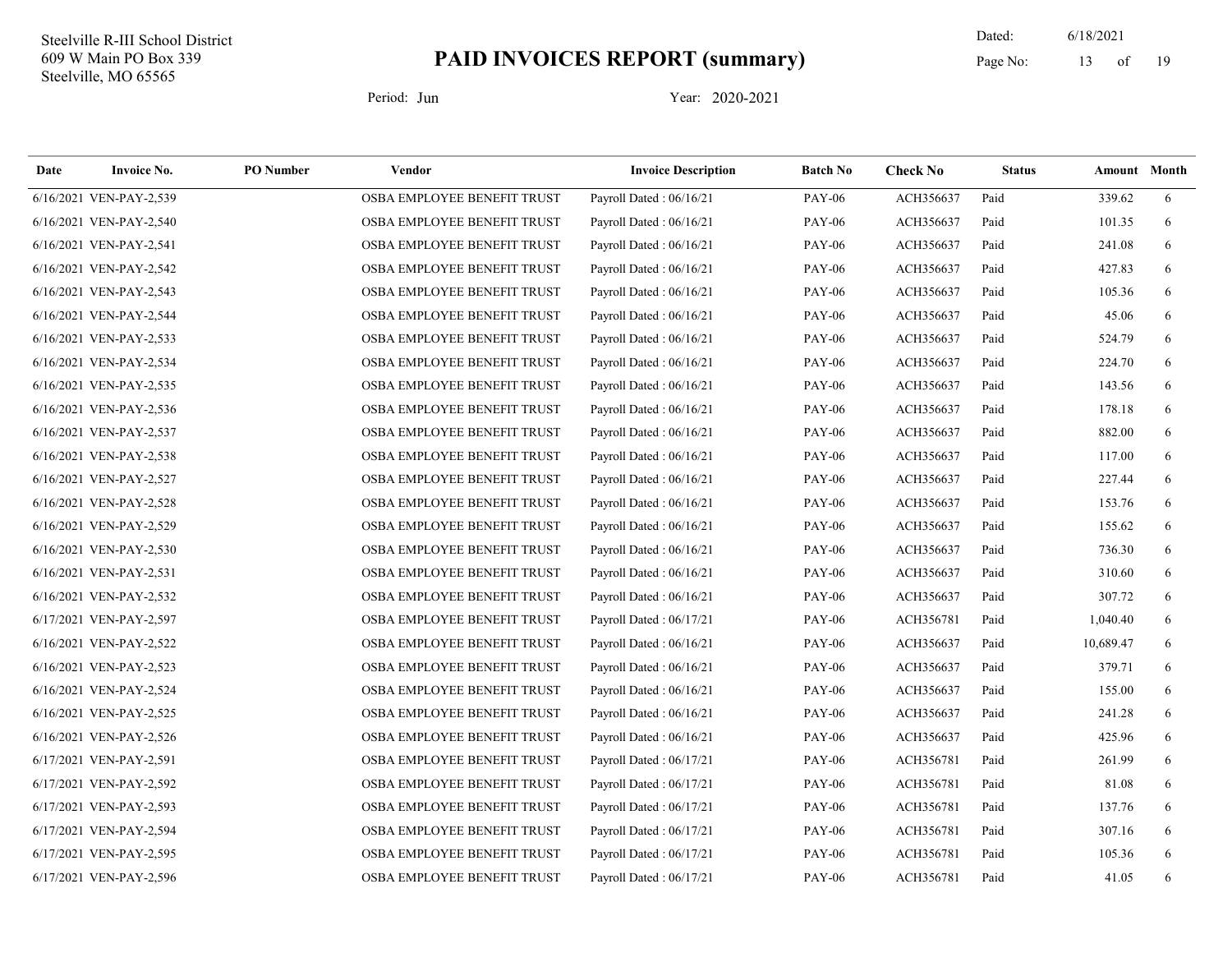19 Dated: 6/18/2021 Page No: 13 of

| Date | <b>Invoice No.</b>      | <b>PO</b> Number | <b>Vendor</b>               | <b>Invoice Description</b> | <b>Batch No</b> | <b>Check No</b> | <b>Status</b> |           | <b>Amount</b> Month |
|------|-------------------------|------------------|-----------------------------|----------------------------|-----------------|-----------------|---------------|-----------|---------------------|
|      | 6/16/2021 VEN-PAY-2,539 |                  | OSBA EMPLOYEE BENEFIT TRUST | Payroll Dated: 06/16/21    | <b>PAY-06</b>   | ACH356637       | Paid          | 339.62    | 6                   |
|      | 6/16/2021 VEN-PAY-2,540 |                  | OSBA EMPLOYEE BENEFIT TRUST | Payroll Dated: 06/16/21    | <b>PAY-06</b>   | ACH356637       | Paid          | 101.35    | 6                   |
|      | 6/16/2021 VEN-PAY-2,541 |                  | OSBA EMPLOYEE BENEFIT TRUST | Payroll Dated: 06/16/21    | <b>PAY-06</b>   | ACH356637       | Paid          | 241.08    | 6                   |
|      | 6/16/2021 VEN-PAY-2,542 |                  | OSBA EMPLOYEE BENEFIT TRUST | Payroll Dated: 06/16/21    | <b>PAY-06</b>   | ACH356637       | Paid          | 427.83    | 6                   |
|      | 6/16/2021 VEN-PAY-2,543 |                  | OSBA EMPLOYEE BENEFIT TRUST | Payroll Dated: 06/16/21    | <b>PAY-06</b>   | ACH356637       | Paid          | 105.36    | 6                   |
|      | 6/16/2021 VEN-PAY-2,544 |                  | OSBA EMPLOYEE BENEFIT TRUST | Payroll Dated: 06/16/21    | <b>PAY-06</b>   | ACH356637       | Paid          | 45.06     | 6                   |
|      | 6/16/2021 VEN-PAY-2,533 |                  | OSBA EMPLOYEE BENEFIT TRUST | Payroll Dated: 06/16/21    | <b>PAY-06</b>   | ACH356637       | Paid          | 524.79    | 6                   |
|      | 6/16/2021 VEN-PAY-2,534 |                  | OSBA EMPLOYEE BENEFIT TRUST | Payroll Dated: 06/16/21    | <b>PAY-06</b>   | ACH356637       | Paid          | 224.70    | 6                   |
|      | 6/16/2021 VEN-PAY-2,535 |                  | OSBA EMPLOYEE BENEFIT TRUST | Payroll Dated: 06/16/21    | <b>PAY-06</b>   | ACH356637       | Paid          | 143.56    | 6                   |
|      | 6/16/2021 VEN-PAY-2,536 |                  | OSBA EMPLOYEE BENEFIT TRUST | Payroll Dated: 06/16/21    | <b>PAY-06</b>   | ACH356637       | Paid          | 178.18    | 6                   |
|      | 6/16/2021 VEN-PAY-2,537 |                  | OSBA EMPLOYEE BENEFIT TRUST | Payroll Dated: 06/16/21    | <b>PAY-06</b>   | ACH356637       | Paid          | 882.00    | 6                   |
|      | 6/16/2021 VEN-PAY-2,538 |                  | OSBA EMPLOYEE BENEFIT TRUST | Payroll Dated: 06/16/21    | <b>PAY-06</b>   | ACH356637       | Paid          | 117.00    | 6                   |
|      | 6/16/2021 VEN-PAY-2,527 |                  | OSBA EMPLOYEE BENEFIT TRUST | Payroll Dated: 06/16/21    | <b>PAY-06</b>   | ACH356637       | Paid          | 227.44    | 6                   |
|      | 6/16/2021 VEN-PAY-2,528 |                  | OSBA EMPLOYEE BENEFIT TRUST | Payroll Dated: 06/16/21    | <b>PAY-06</b>   | ACH356637       | Paid          | 153.76    | 6                   |
|      | 6/16/2021 VEN-PAY-2,529 |                  | OSBA EMPLOYEE BENEFIT TRUST | Payroll Dated: 06/16/21    | <b>PAY-06</b>   | ACH356637       | Paid          | 155.62    | 6                   |
|      | 6/16/2021 VEN-PAY-2,530 |                  | OSBA EMPLOYEE BENEFIT TRUST | Payroll Dated: 06/16/21    | <b>PAY-06</b>   | ACH356637       | Paid          | 736.30    | 6                   |
|      | 6/16/2021 VEN-PAY-2,531 |                  | OSBA EMPLOYEE BENEFIT TRUST | Payroll Dated: 06/16/21    | <b>PAY-06</b>   | ACH356637       | Paid          | 310.60    | 6                   |
|      | 6/16/2021 VEN-PAY-2,532 |                  | OSBA EMPLOYEE BENEFIT TRUST | Payroll Dated: 06/16/21    | <b>PAY-06</b>   | ACH356637       | Paid          | 307.72    | 6                   |
|      | 6/17/2021 VEN-PAY-2,597 |                  | OSBA EMPLOYEE BENEFIT TRUST | Payroll Dated: 06/17/21    | <b>PAY-06</b>   | ACH356781       | Paid          | 1,040.40  | 6                   |
|      | 6/16/2021 VEN-PAY-2,522 |                  | OSBA EMPLOYEE BENEFIT TRUST | Payroll Dated: 06/16/21    | <b>PAY-06</b>   | ACH356637       | Paid          | 10,689.47 | 6                   |
|      | 6/16/2021 VEN-PAY-2,523 |                  | OSBA EMPLOYEE BENEFIT TRUST | Payroll Dated: 06/16/21    | <b>PAY-06</b>   | ACH356637       | Paid          | 379.71    | 6                   |
|      | 6/16/2021 VEN-PAY-2,524 |                  | OSBA EMPLOYEE BENEFIT TRUST | Payroll Dated: 06/16/21    | <b>PAY-06</b>   | ACH356637       | Paid          | 155.00    | 6                   |
|      | 6/16/2021 VEN-PAY-2,525 |                  | OSBA EMPLOYEE BENEFIT TRUST | Payroll Dated: 06/16/21    | <b>PAY-06</b>   | ACH356637       | Paid          | 241.28    | 6                   |
|      | 6/16/2021 VEN-PAY-2,526 |                  | OSBA EMPLOYEE BENEFIT TRUST | Payroll Dated: 06/16/21    | <b>PAY-06</b>   | ACH356637       | Paid          | 425.96    | 6                   |
|      | 6/17/2021 VEN-PAY-2,591 |                  | OSBA EMPLOYEE BENEFIT TRUST | Payroll Dated: 06/17/21    | <b>PAY-06</b>   | ACH356781       | Paid          | 261.99    | 6                   |
|      | 6/17/2021 VEN-PAY-2,592 |                  | OSBA EMPLOYEE BENEFIT TRUST | Payroll Dated: 06/17/21    | <b>PAY-06</b>   | ACH356781       | Paid          | 81.08     | 6                   |
|      | 6/17/2021 VEN-PAY-2,593 |                  | OSBA EMPLOYEE BENEFIT TRUST | Payroll Dated: 06/17/21    | <b>PAY-06</b>   | ACH356781       | Paid          | 137.76    | 6                   |
|      | 6/17/2021 VEN-PAY-2,594 |                  | OSBA EMPLOYEE BENEFIT TRUST | Payroll Dated: 06/17/21    | <b>PAY-06</b>   | ACH356781       | Paid          | 307.16    | 6                   |
|      | 6/17/2021 VEN-PAY-2,595 |                  | OSBA EMPLOYEE BENEFIT TRUST | Payroll Dated: 06/17/21    | <b>PAY-06</b>   | ACH356781       | Paid          | 105.36    | 6                   |
|      | 6/17/2021 VEN-PAY-2,596 |                  | OSBA EMPLOYEE BENEFIT TRUST | Payroll Dated: 06/17/21    | <b>PAY-06</b>   | ACH356781       | Paid          | 41.05     | 6                   |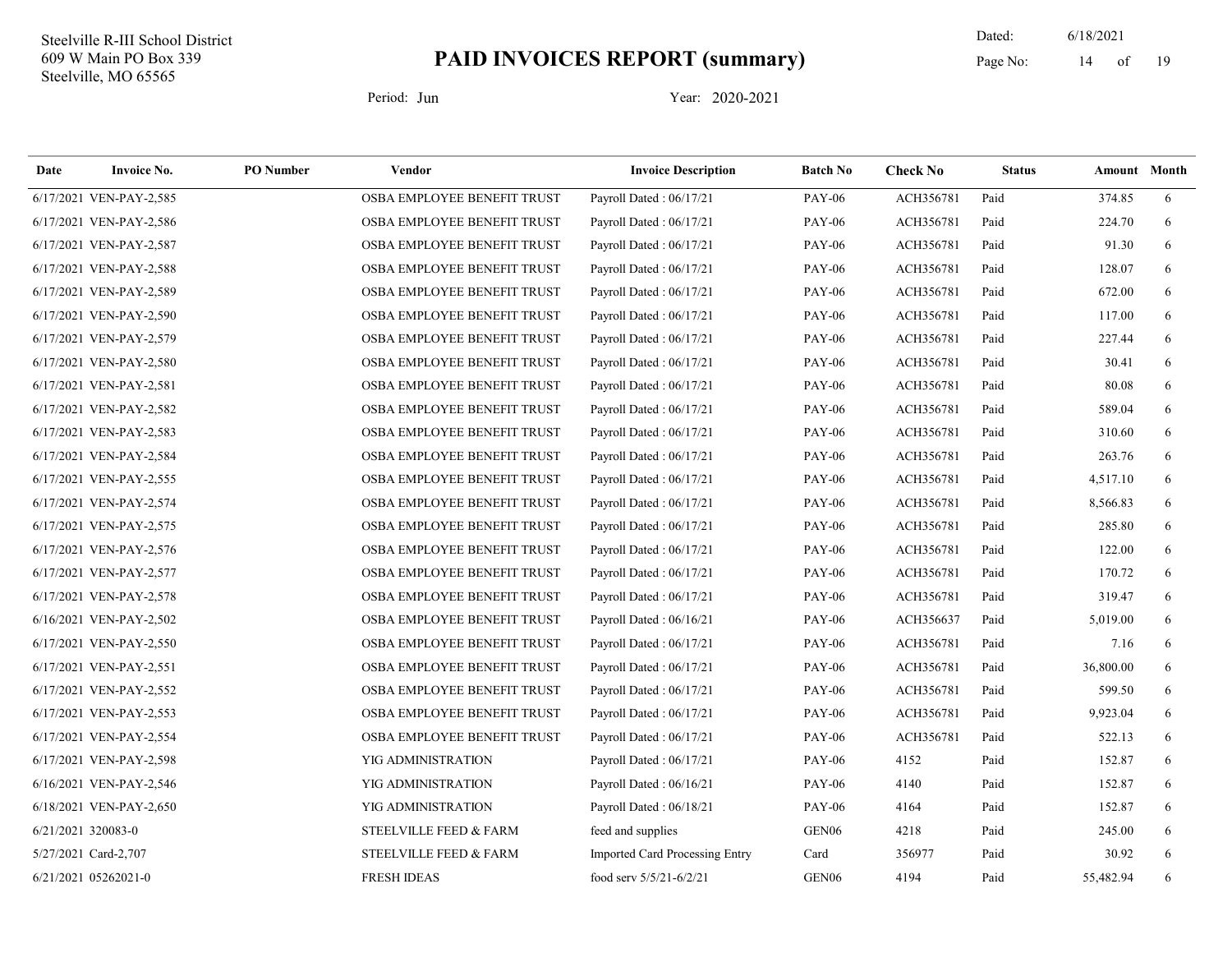19 Dated: 6/18/2021 Page No: 14 of

| Date | <b>Invoice No.</b>      | <b>PO</b> Number | Vendor                      | <b>Invoice Description</b>     | <b>Batch No</b>   | <b>Check No</b> | <b>Status</b> | <b>Amount</b> Month |   |
|------|-------------------------|------------------|-----------------------------|--------------------------------|-------------------|-----------------|---------------|---------------------|---|
|      | 6/17/2021 VEN-PAY-2,585 |                  | OSBA EMPLOYEE BENEFIT TRUST | Payroll Dated: 06/17/21        | <b>PAY-06</b>     | ACH356781       | Paid          | 374.85              | 6 |
|      | 6/17/2021 VEN-PAY-2,586 |                  | OSBA EMPLOYEE BENEFIT TRUST | Payroll Dated: 06/17/21        | <b>PAY-06</b>     | ACH356781       | Paid          | 224.70              | 6 |
|      | 6/17/2021 VEN-PAY-2,587 |                  | OSBA EMPLOYEE BENEFIT TRUST | Payroll Dated: 06/17/21        | <b>PAY-06</b>     | ACH356781       | Paid          | 91.30               | 6 |
|      | 6/17/2021 VEN-PAY-2,588 |                  | OSBA EMPLOYEE BENEFIT TRUST | Payroll Dated: 06/17/21        | <b>PAY-06</b>     | ACH356781       | Paid          | 128.07              | 6 |
|      | 6/17/2021 VEN-PAY-2,589 |                  | OSBA EMPLOYEE BENEFIT TRUST | Payroll Dated: 06/17/21        | <b>PAY-06</b>     | ACH356781       | Paid          | 672.00              | 6 |
|      | 6/17/2021 VEN-PAY-2,590 |                  | OSBA EMPLOYEE BENEFIT TRUST | Payroll Dated: 06/17/21        | <b>PAY-06</b>     | ACH356781       | Paid          | 117.00              | 6 |
|      | 6/17/2021 VEN-PAY-2,579 |                  | OSBA EMPLOYEE BENEFIT TRUST | Payroll Dated: 06/17/21        | <b>PAY-06</b>     | ACH356781       | Paid          | 227.44              | 6 |
|      | 6/17/2021 VEN-PAY-2,580 |                  | OSBA EMPLOYEE BENEFIT TRUST | Payroll Dated: 06/17/21        | <b>PAY-06</b>     | ACH356781       | Paid          | 30.41               | 6 |
|      | 6/17/2021 VEN-PAY-2,581 |                  | OSBA EMPLOYEE BENEFIT TRUST | Payroll Dated: 06/17/21        | <b>PAY-06</b>     | ACH356781       | Paid          | 80.08               | 6 |
|      | 6/17/2021 VEN-PAY-2,582 |                  | OSBA EMPLOYEE BENEFIT TRUST | Payroll Dated: 06/17/21        | <b>PAY-06</b>     | ACH356781       | Paid          | 589.04              | 6 |
|      | 6/17/2021 VEN-PAY-2,583 |                  | OSBA EMPLOYEE BENEFIT TRUST | Payroll Dated: 06/17/21        | <b>PAY-06</b>     | ACH356781       | Paid          | 310.60              | 6 |
|      | 6/17/2021 VEN-PAY-2,584 |                  | OSBA EMPLOYEE BENEFIT TRUST | Payroll Dated: 06/17/21        | <b>PAY-06</b>     | ACH356781       | Paid          | 263.76              | 6 |
|      | 6/17/2021 VEN-PAY-2,555 |                  | OSBA EMPLOYEE BENEFIT TRUST | Payroll Dated: 06/17/21        | <b>PAY-06</b>     | ACH356781       | Paid          | 4,517.10            | 6 |
|      | 6/17/2021 VEN-PAY-2,574 |                  | OSBA EMPLOYEE BENEFIT TRUST | Payroll Dated: 06/17/21        | <b>PAY-06</b>     | ACH356781       | Paid          | 8,566.83            | 6 |
|      | 6/17/2021 VEN-PAY-2,575 |                  | OSBA EMPLOYEE BENEFIT TRUST | Payroll Dated: 06/17/21        | <b>PAY-06</b>     | ACH356781       | Paid          | 285.80              | 6 |
|      | 6/17/2021 VEN-PAY-2,576 |                  | OSBA EMPLOYEE BENEFIT TRUST | Payroll Dated: 06/17/21        | <b>PAY-06</b>     | ACH356781       | Paid          | 122.00              | 6 |
|      | 6/17/2021 VEN-PAY-2,577 |                  | OSBA EMPLOYEE BENEFIT TRUST | Payroll Dated: 06/17/21        | <b>PAY-06</b>     | ACH356781       | Paid          | 170.72              | 6 |
|      | 6/17/2021 VEN-PAY-2,578 |                  | OSBA EMPLOYEE BENEFIT TRUST | Payroll Dated: 06/17/21        | <b>PAY-06</b>     | ACH356781       | Paid          | 319.47              | 6 |
|      | 6/16/2021 VEN-PAY-2,502 |                  | OSBA EMPLOYEE BENEFIT TRUST | Payroll Dated: 06/16/21        | <b>PAY-06</b>     | ACH356637       | Paid          | 5,019.00            | 6 |
|      | 6/17/2021 VEN-PAY-2,550 |                  | OSBA EMPLOYEE BENEFIT TRUST | Payroll Dated: 06/17/21        | <b>PAY-06</b>     | ACH356781       | Paid          | 7.16                | 6 |
|      | 6/17/2021 VEN-PAY-2,551 |                  | OSBA EMPLOYEE BENEFIT TRUST | Payroll Dated: 06/17/21        | <b>PAY-06</b>     | ACH356781       | Paid          | 36,800.00           | 6 |
|      | 6/17/2021 VEN-PAY-2,552 |                  | OSBA EMPLOYEE BENEFIT TRUST | Payroll Dated: 06/17/21        | <b>PAY-06</b>     | ACH356781       | Paid          | 599.50              | 6 |
|      | 6/17/2021 VEN-PAY-2,553 |                  | OSBA EMPLOYEE BENEFIT TRUST | Payroll Dated: 06/17/21        | <b>PAY-06</b>     | ACH356781       | Paid          | 9,923.04            | 6 |
|      | 6/17/2021 VEN-PAY-2,554 |                  | OSBA EMPLOYEE BENEFIT TRUST | Payroll Dated: 06/17/21        | <b>PAY-06</b>     | ACH356781       | Paid          | 522.13              | 6 |
|      | 6/17/2021 VEN-PAY-2,598 |                  | YIG ADMINISTRATION          | Payroll Dated: 06/17/21        | <b>PAY-06</b>     | 4152            | Paid          | 152.87              | 6 |
|      | 6/16/2021 VEN-PAY-2,546 |                  | YIG ADMINISTRATION          | Payroll Dated: 06/16/21        | <b>PAY-06</b>     | 4140            | Paid          | 152.87              | 6 |
|      | 6/18/2021 VEN-PAY-2,650 |                  | YIG ADMINISTRATION          | Payroll Dated: 06/18/21        | <b>PAY-06</b>     | 4164            | Paid          | 152.87              | 6 |
|      | 6/21/2021 320083-0      |                  | STEELVILLE FEED & FARM      | feed and supplies              | GEN <sub>06</sub> | 4218            | Paid          | 245.00              | 6 |
|      | 5/27/2021 Card-2,707    |                  | STEELVILLE FEED & FARM      | Imported Card Processing Entry | Card              | 356977          | Paid          | 30.92               | 6 |
|      | 6/21/2021 05262021-0    |                  | <b>FRESH IDEAS</b>          | food serv 5/5/21-6/2/21        | GEN <sub>06</sub> | 4194            | Paid          | 55,482.94           | 6 |
|      |                         |                  |                             |                                |                   |                 |               |                     |   |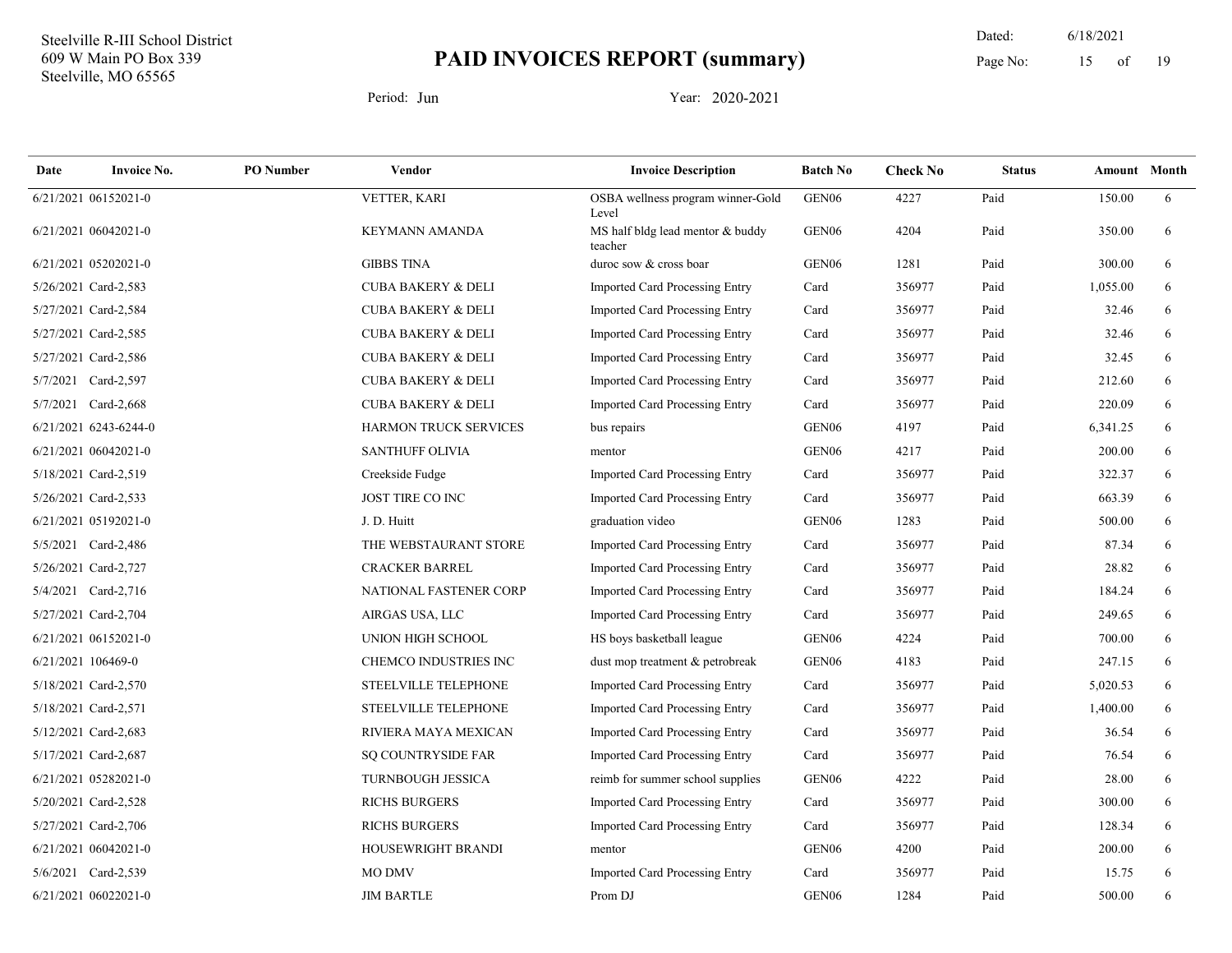19 Dated: 6/18/2021 Page No: 15 of

| Date | <b>Invoice No.</b>    | <b>PO</b> Number | Vendor                        | <b>Invoice Description</b>                  | <b>Batch No</b>   | <b>Check No</b> | <b>Status</b> | <b>Amount</b> Month |   |
|------|-----------------------|------------------|-------------------------------|---------------------------------------------|-------------------|-----------------|---------------|---------------------|---|
|      | 6/21/2021 06152021-0  |                  | VETTER, KARI                  | OSBA wellness program winner-Gold<br>Level  | GEN <sub>06</sub> | 4227            | Paid          | 150.00              | 6 |
|      | 6/21/2021 06042021-0  |                  | <b>KEYMANN AMANDA</b>         | MS half bldg lead mentor & buddy<br>teacher | GEN <sub>06</sub> | 4204            | Paid          | 350.00              | 6 |
|      | 6/21/2021 05202021-0  |                  | <b>GIBBS TINA</b>             | duroc sow & cross boar                      | GEN <sub>06</sub> | 1281            | Paid          | 300.00              | 6 |
|      | 5/26/2021 Card-2,583  |                  | <b>CUBA BAKERY &amp; DELI</b> | <b>Imported Card Processing Entry</b>       | Card              | 356977          | Paid          | 1,055.00            | 6 |
|      | 5/27/2021 Card-2,584  |                  | <b>CUBA BAKERY &amp; DELI</b> | Imported Card Processing Entry              | Card              | 356977          | Paid          | 32.46               | 6 |
|      | 5/27/2021 Card-2,585  |                  | <b>CUBA BAKERY &amp; DELI</b> | Imported Card Processing Entry              | Card              | 356977          | Paid          | 32.46               | 6 |
|      | 5/27/2021 Card-2,586  |                  | <b>CUBA BAKERY &amp; DELI</b> | Imported Card Processing Entry              | Card              | 356977          | Paid          | 32.45               | 6 |
|      | 5/7/2021 Card-2,597   |                  | <b>CUBA BAKERY &amp; DELI</b> | Imported Card Processing Entry              | Card              | 356977          | Paid          | 212.60              | 6 |
|      | 5/7/2021 Card-2,668   |                  | <b>CUBA BAKERY &amp; DELI</b> | Imported Card Processing Entry              | Card              | 356977          | Paid          | 220.09              | 6 |
|      | 6/21/2021 6243-6244-0 |                  | <b>HARMON TRUCK SERVICES</b>  | bus repairs                                 | GEN <sub>06</sub> | 4197            | Paid          | 6,341.25            | 6 |
|      | 6/21/2021 06042021-0  |                  | <b>SANTHUFF OLIVIA</b>        | mentor                                      | GEN <sub>06</sub> | 4217            | Paid          | 200.00              | 6 |
|      | 5/18/2021 Card-2,519  |                  | Creekside Fudge               | <b>Imported Card Processing Entry</b>       | Card              | 356977          | Paid          | 322.37              | 6 |
|      | 5/26/2021 Card-2,533  |                  | JOST TIRE CO INC              | Imported Card Processing Entry              | Card              | 356977          | Paid          | 663.39              | 6 |
|      | 6/21/2021 05192021-0  |                  | J. D. Huitt                   | graduation video                            | GEN <sub>06</sub> | 1283            | Paid          | 500.00              | 6 |
|      | 5/5/2021 Card-2,486   |                  | THE WEBSTAURANT STORE         | <b>Imported Card Processing Entry</b>       | Card              | 356977          | Paid          | 87.34               | 6 |
|      | 5/26/2021 Card-2,727  |                  | <b>CRACKER BARREL</b>         | Imported Card Processing Entry              | Card              | 356977          | Paid          | 28.82               | 6 |
|      | 5/4/2021 Card-2,716   |                  | NATIONAL FASTENER CORP        | Imported Card Processing Entry              | Card              | 356977          | Paid          | 184.24              | 6 |
|      | 5/27/2021 Card-2,704  |                  | AIRGAS USA, LLC               | Imported Card Processing Entry              | Card              | 356977          | Paid          | 249.65              | 6 |
|      | 6/21/2021 06152021-0  |                  | UNION HIGH SCHOOL             | HS boys basketball league                   | GEN06             | 4224            | Paid          | 700.00              | 6 |
|      | 6/21/2021 106469-0    |                  | CHEMCO INDUSTRIES INC         | dust mop treatment & petrobreak             | GEN <sub>06</sub> | 4183            | Paid          | 247.15              | 6 |
|      | 5/18/2021 Card-2,570  |                  | STEELVILLE TELEPHONE          | Imported Card Processing Entry              | Card              | 356977          | Paid          | 5,020.53            | 6 |
|      | 5/18/2021 Card-2,571  |                  | STEELVILLE TELEPHONE          | Imported Card Processing Entry              | Card              | 356977          | Paid          | 1,400.00            | 6 |
|      | 5/12/2021 Card-2,683  |                  | RIVIERA MAYA MEXICAN          | Imported Card Processing Entry              | Card              | 356977          | Paid          | 36.54               | 6 |
|      | 5/17/2021 Card-2,687  |                  | SQ COUNTRYSIDE FAR            | Imported Card Processing Entry              | Card              | 356977          | Paid          | 76.54               | 6 |
|      | 6/21/2021 05282021-0  |                  | <b>TURNBOUGH JESSICA</b>      | reimb for summer school supplies            | GEN <sub>06</sub> | 4222            | Paid          | 28.00               | 6 |
|      | 5/20/2021 Card-2,528  |                  | <b>RICHS BURGERS</b>          | Imported Card Processing Entry              | Card              | 356977          | Paid          | 300.00              | 6 |
|      | 5/27/2021 Card-2,706  |                  | <b>RICHS BURGERS</b>          | Imported Card Processing Entry              | Card              | 356977          | Paid          | 128.34              | 6 |
|      | 6/21/2021 06042021-0  |                  | HOUSEWRIGHT BRANDI            | mentor                                      | GEN <sub>06</sub> | 4200            | Paid          | 200.00              | 6 |
|      | 5/6/2021 Card-2,539   |                  | <b>MO DMV</b>                 | Imported Card Processing Entry              | Card              | 356977          | Paid          | 15.75               | 6 |
|      | 6/21/2021 06022021-0  |                  | <b>JIM BARTLE</b>             | Prom DJ                                     | GEN <sub>06</sub> | 1284            | Paid          | 500.00              | 6 |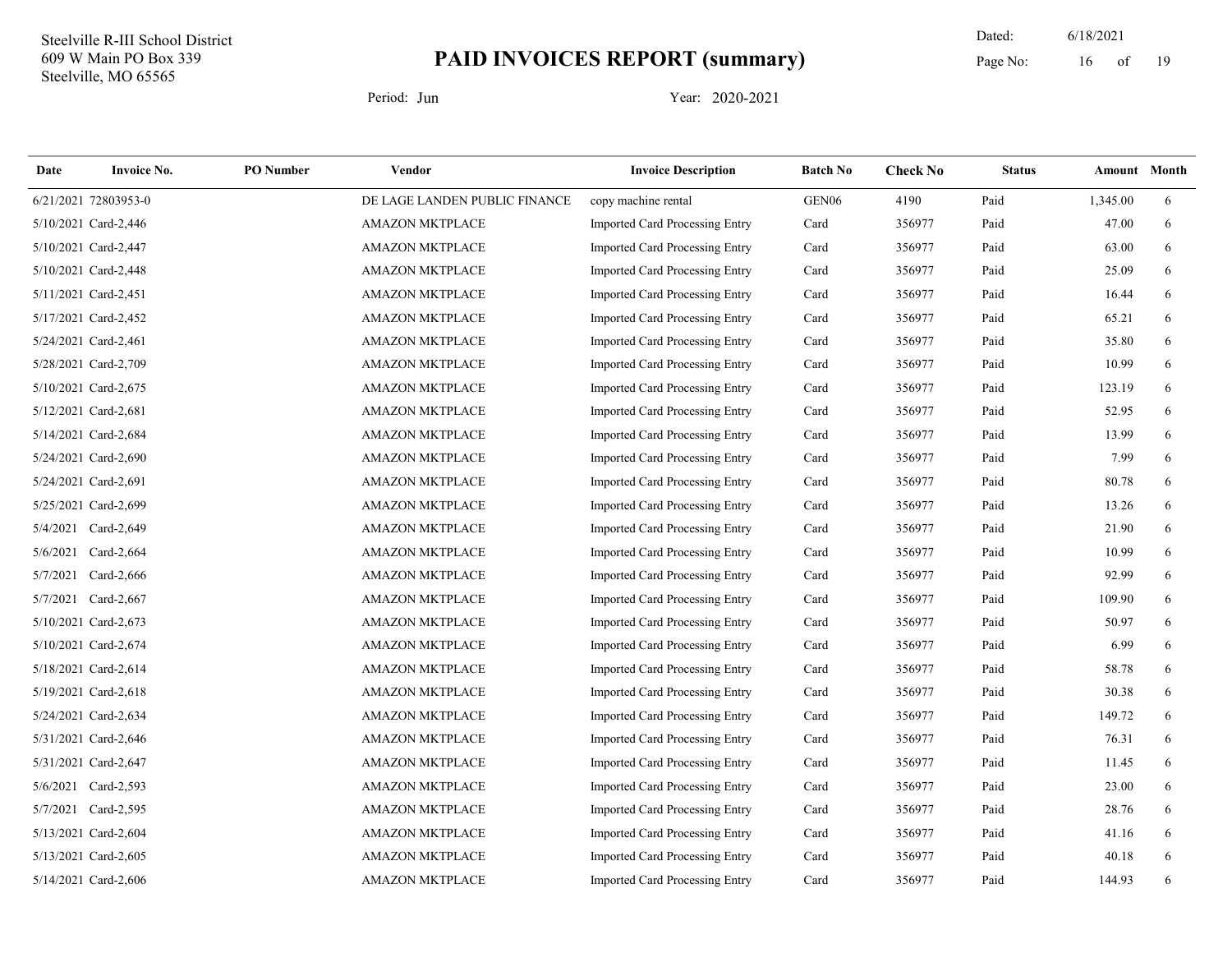19 Dated: 6/18/2021 Page No: 16 of

| Date     | <b>Invoice No.</b>   | <b>PO</b> Number | Vendor                        | <b>Invoice Description</b>            | <b>Batch No</b>   | <b>Check No</b> | <b>Status</b> | Amount Month |   |
|----------|----------------------|------------------|-------------------------------|---------------------------------------|-------------------|-----------------|---------------|--------------|---|
|          | 6/21/2021 72803953-0 |                  | DE LAGE LANDEN PUBLIC FINANCE | copy machine rental                   | GEN <sub>06</sub> | 4190            | Paid          | 1,345.00     | 6 |
|          | 5/10/2021 Card-2,446 |                  | <b>AMAZON MKTPLACE</b>        | Imported Card Processing Entry        | Card              | 356977          | Paid          | 47.00        | 6 |
|          | 5/10/2021 Card-2,447 |                  | <b>AMAZON MKTPLACE</b>        | Imported Card Processing Entry        | Card              | 356977          | Paid          | 63.00        | 6 |
|          | 5/10/2021 Card-2,448 |                  | AMAZON MKTPLACE               | Imported Card Processing Entry        | Card              | 356977          | Paid          | 25.09        | 6 |
|          | 5/11/2021 Card-2,451 |                  | <b>AMAZON MKTPLACE</b>        | Imported Card Processing Entry        | Card              | 356977          | Paid          | 16.44        | 6 |
|          | 5/17/2021 Card-2,452 |                  | <b>AMAZON MKTPLACE</b>        | Imported Card Processing Entry        | Card              | 356977          | Paid          | 65.21        | 6 |
|          | 5/24/2021 Card-2,461 |                  | <b>AMAZON MKTPLACE</b>        | Imported Card Processing Entry        | Card              | 356977          | Paid          | 35.80        | 6 |
|          | 5/28/2021 Card-2,709 |                  | <b>AMAZON MKTPLACE</b>        | Imported Card Processing Entry        | Card              | 356977          | Paid          | 10.99        | 6 |
|          | 5/10/2021 Card-2,675 |                  | <b>AMAZON MKTPLACE</b>        | Imported Card Processing Entry        | Card              | 356977          | Paid          | 123.19       | 6 |
|          | 5/12/2021 Card-2,681 |                  | <b>AMAZON MKTPLACE</b>        | Imported Card Processing Entry        | Card              | 356977          | Paid          | 52.95        | 6 |
|          | 5/14/2021 Card-2,684 |                  | <b>AMAZON MKTPLACE</b>        | Imported Card Processing Entry        | Card              | 356977          | Paid          | 13.99        | 6 |
|          | 5/24/2021 Card-2,690 |                  | <b>AMAZON MKTPLACE</b>        | <b>Imported Card Processing Entry</b> | Card              | 356977          | Paid          | 7.99         | 6 |
|          | 5/24/2021 Card-2,691 |                  | <b>AMAZON MKTPLACE</b>        | Imported Card Processing Entry        | Card              | 356977          | Paid          | 80.78        | 6 |
|          | 5/25/2021 Card-2,699 |                  | AMAZON MKTPLACE               | Imported Card Processing Entry        | Card              | 356977          | Paid          | 13.26        | 6 |
|          | 5/4/2021 Card-2,649  |                  | <b>AMAZON MKTPLACE</b>        | Imported Card Processing Entry        | Card              | 356977          | Paid          | 21.90        | 6 |
| 5/6/2021 | Card-2,664           |                  | <b>AMAZON MKTPLACE</b>        | Imported Card Processing Entry        | Card              | 356977          | Paid          | 10.99        | 6 |
|          | 5/7/2021 Card-2,666  |                  | <b>AMAZON MKTPLACE</b>        | Imported Card Processing Entry        | Card              | 356977          | Paid          | 92.99        | 6 |
|          | 5/7/2021 Card-2,667  |                  | <b>AMAZON MKTPLACE</b>        | Imported Card Processing Entry        | Card              | 356977          | Paid          | 109.90       | 6 |
|          | 5/10/2021 Card-2,673 |                  | <b>AMAZON MKTPLACE</b>        | <b>Imported Card Processing Entry</b> | Card              | 356977          | Paid          | 50.97        | 6 |
|          | 5/10/2021 Card-2,674 |                  | <b>AMAZON MKTPLACE</b>        | <b>Imported Card Processing Entry</b> | Card              | 356977          | Paid          | 6.99         | 6 |
|          | 5/18/2021 Card-2,614 |                  | <b>AMAZON MKTPLACE</b>        | Imported Card Processing Entry        | Card              | 356977          | Paid          | 58.78        | 6 |
|          | 5/19/2021 Card-2,618 |                  | <b>AMAZON MKTPLACE</b>        | Imported Card Processing Entry        | Card              | 356977          | Paid          | 30.38        | 6 |
|          | 5/24/2021 Card-2,634 |                  | <b>AMAZON MKTPLACE</b>        | Imported Card Processing Entry        | Card              | 356977          | Paid          | 149.72       | 6 |
|          | 5/31/2021 Card-2,646 |                  | <b>AMAZON MKTPLACE</b>        | Imported Card Processing Entry        | Card              | 356977          | Paid          | 76.31        | 6 |
|          | 5/31/2021 Card-2,647 |                  | <b>AMAZON MKTPLACE</b>        | <b>Imported Card Processing Entry</b> | Card              | 356977          | Paid          | 11.45        | 6 |
|          | 5/6/2021 Card-2,593  |                  | <b>AMAZON MKTPLACE</b>        | Imported Card Processing Entry        | Card              | 356977          | Paid          | 23.00        | 6 |
|          | 5/7/2021 Card-2,595  |                  | <b>AMAZON MKTPLACE</b>        | Imported Card Processing Entry        | Card              | 356977          | Paid          | 28.76        | 6 |
|          | 5/13/2021 Card-2,604 |                  | <b>AMAZON MKTPLACE</b>        | <b>Imported Card Processing Entry</b> | Card              | 356977          | Paid          | 41.16        | 6 |
|          | 5/13/2021 Card-2,605 |                  | <b>AMAZON MKTPLACE</b>        | <b>Imported Card Processing Entry</b> | Card              | 356977          | Paid          | 40.18        | 6 |
|          | 5/14/2021 Card-2,606 |                  | <b>AMAZON MKTPLACE</b>        | Imported Card Processing Entry        | Card              | 356977          | Paid          | 144.93       | 6 |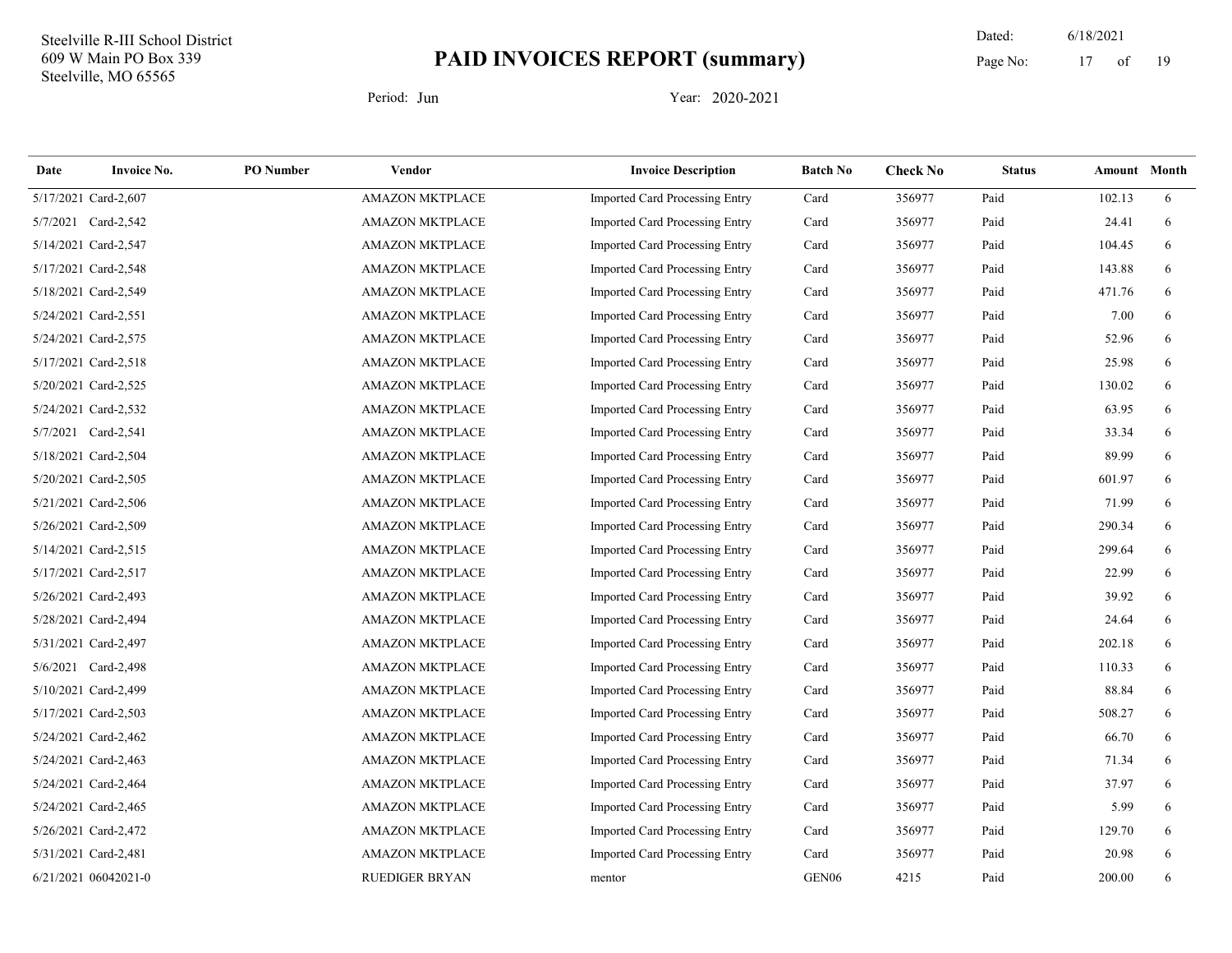19 Dated: 6/18/2021 Page No: 17 of

| Date | <b>Invoice No.</b>   | <b>PO</b> Number | Vendor                 | <b>Invoice Description</b>            | <b>Batch No</b>   | <b>Check No</b> | <b>Status</b> | Amount Month |   |
|------|----------------------|------------------|------------------------|---------------------------------------|-------------------|-----------------|---------------|--------------|---|
|      | 5/17/2021 Card-2,607 |                  | AMAZON MKTPLACE        | <b>Imported Card Processing Entry</b> | Card              | 356977          | Paid          | 102.13       | 6 |
|      | 5/7/2021 Card-2,542  |                  | <b>AMAZON MKTPLACE</b> | Imported Card Processing Entry        | Card              | 356977          | Paid          | 24.41        | 6 |
|      | 5/14/2021 Card-2,547 |                  | <b>AMAZON MKTPLACE</b> | Imported Card Processing Entry        | Card              | 356977          | Paid          | 104.45       | 6 |
|      | 5/17/2021 Card-2,548 |                  | <b>AMAZON MKTPLACE</b> | Imported Card Processing Entry        | Card              | 356977          | Paid          | 143.88       | 6 |
|      | 5/18/2021 Card-2,549 |                  | <b>AMAZON MKTPLACE</b> | Imported Card Processing Entry        | Card              | 356977          | Paid          | 471.76       | 6 |
|      | 5/24/2021 Card-2,551 |                  | <b>AMAZON MKTPLACE</b> | Imported Card Processing Entry        | Card              | 356977          | Paid          | 7.00         | 6 |
|      | 5/24/2021 Card-2,575 |                  | <b>AMAZON MKTPLACE</b> | Imported Card Processing Entry        | Card              | 356977          | Paid          | 52.96        | 6 |
|      | 5/17/2021 Card-2,518 |                  | <b>AMAZON MKTPLACE</b> | Imported Card Processing Entry        | Card              | 356977          | Paid          | 25.98        | 6 |
|      | 5/20/2021 Card-2,525 |                  | <b>AMAZON MKTPLACE</b> | Imported Card Processing Entry        | Card              | 356977          | Paid          | 130.02       | 6 |
|      | 5/24/2021 Card-2,532 |                  | <b>AMAZON MKTPLACE</b> | Imported Card Processing Entry        | Card              | 356977          | Paid          | 63.95        | 6 |
|      | 5/7/2021 Card-2,541  |                  | <b>AMAZON MKTPLACE</b> | <b>Imported Card Processing Entry</b> | Card              | 356977          | Paid          | 33.34        | 6 |
|      | 5/18/2021 Card-2,504 |                  | <b>AMAZON MKTPLACE</b> | Imported Card Processing Entry        | Card              | 356977          | Paid          | 89.99        | 6 |
|      | 5/20/2021 Card-2,505 |                  | <b>AMAZON MKTPLACE</b> | Imported Card Processing Entry        | Card              | 356977          | Paid          | 601.97       | 6 |
|      | 5/21/2021 Card-2,506 |                  | <b>AMAZON MKTPLACE</b> | Imported Card Processing Entry        | Card              | 356977          | Paid          | 71.99        | 6 |
|      | 5/26/2021 Card-2,509 |                  | <b>AMAZON MKTPLACE</b> | Imported Card Processing Entry        | Card              | 356977          | Paid          | 290.34       | 6 |
|      | 5/14/2021 Card-2,515 |                  | <b>AMAZON MKTPLACE</b> | <b>Imported Card Processing Entry</b> | Card              | 356977          | Paid          | 299.64       | 6 |
|      | 5/17/2021 Card-2,517 |                  | <b>AMAZON MKTPLACE</b> | Imported Card Processing Entry        | Card              | 356977          | Paid          | 22.99        | 6 |
|      | 5/26/2021 Card-2,493 |                  | <b>AMAZON MKTPLACE</b> | Imported Card Processing Entry        | Card              | 356977          | Paid          | 39.92        | 6 |
|      | 5/28/2021 Card-2,494 |                  | <b>AMAZON MKTPLACE</b> | <b>Imported Card Processing Entry</b> | Card              | 356977          | Paid          | 24.64        | 6 |
|      | 5/31/2021 Card-2,497 |                  | <b>AMAZON MKTPLACE</b> | <b>Imported Card Processing Entry</b> | Card              | 356977          | Paid          | 202.18       | 6 |
|      | 5/6/2021 Card-2,498  |                  | <b>AMAZON MKTPLACE</b> | Imported Card Processing Entry        | Card              | 356977          | Paid          | 110.33       | 6 |
|      | 5/10/2021 Card-2,499 |                  | <b>AMAZON MKTPLACE</b> | Imported Card Processing Entry        | Card              | 356977          | Paid          | 88.84        | 6 |
|      | 5/17/2021 Card-2,503 |                  | <b>AMAZON MKTPLACE</b> | Imported Card Processing Entry        | Card              | 356977          | Paid          | 508.27       | 6 |
|      | 5/24/2021 Card-2,462 |                  | <b>AMAZON MKTPLACE</b> | Imported Card Processing Entry        | Card              | 356977          | Paid          | 66.70        | 6 |
|      | 5/24/2021 Card-2,463 |                  | <b>AMAZON MKTPLACE</b> | Imported Card Processing Entry        | Card              | 356977          | Paid          | 71.34        | 6 |
|      | 5/24/2021 Card-2,464 |                  | <b>AMAZON MKTPLACE</b> | Imported Card Processing Entry        | Card              | 356977          | Paid          | 37.97        | 6 |
|      | 5/24/2021 Card-2,465 |                  | <b>AMAZON MKTPLACE</b> | <b>Imported Card Processing Entry</b> | Card              | 356977          | Paid          | 5.99         | 6 |
|      | 5/26/2021 Card-2,472 |                  | <b>AMAZON MKTPLACE</b> | Imported Card Processing Entry        | Card              | 356977          | Paid          | 129.70       | 6 |
|      | 5/31/2021 Card-2,481 |                  | <b>AMAZON MKTPLACE</b> | Imported Card Processing Entry        | Card              | 356977          | Paid          | 20.98        | 6 |
|      | 6/21/2021 06042021-0 |                  | <b>RUEDIGER BRYAN</b>  | mentor                                | GEN <sub>06</sub> | 4215            | Paid          | 200.00       | 6 |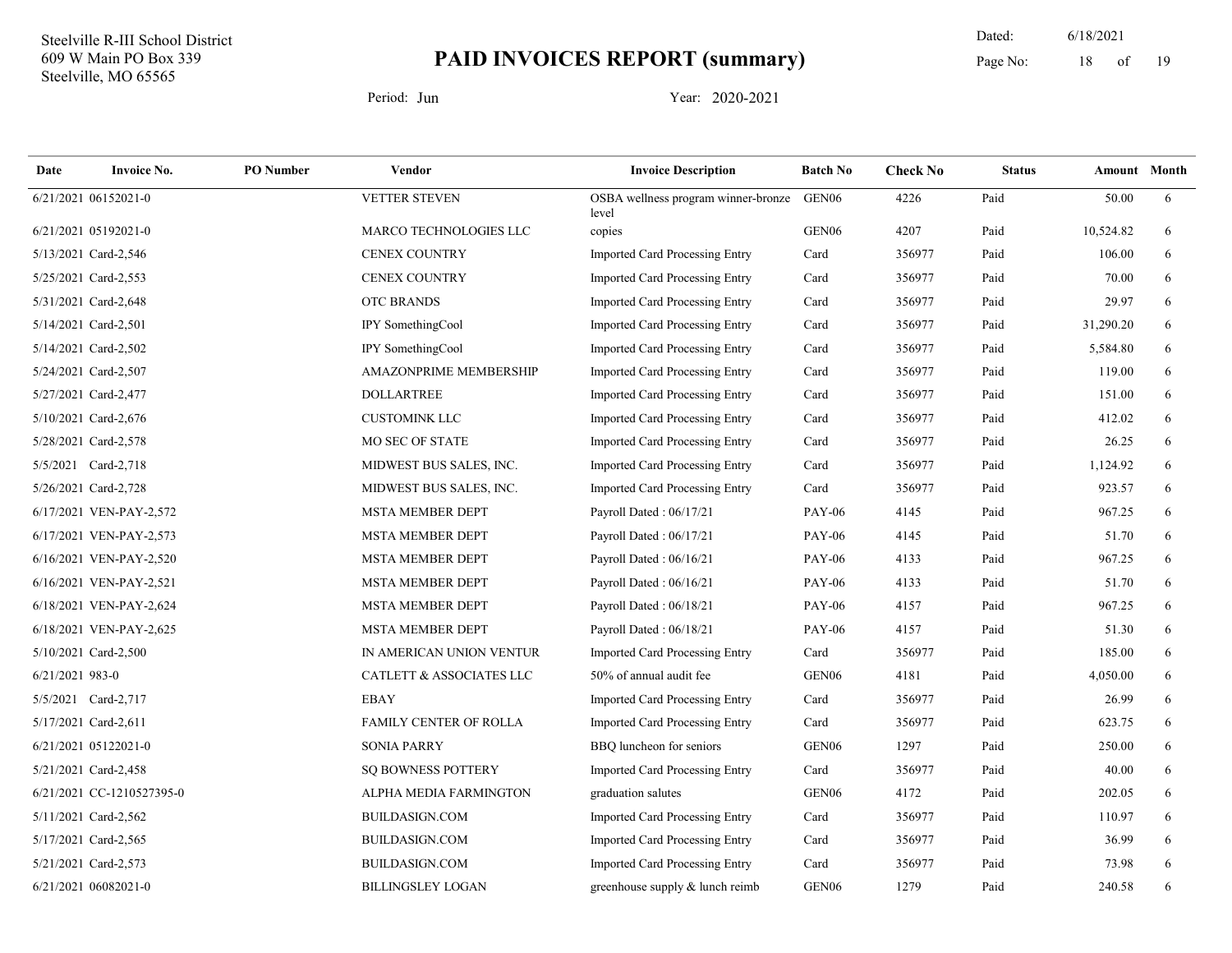19 Dated: 6/18/2021 Page No: 18 of

| Date            | <b>Invoice No.</b>        | <b>PO</b> Number | <b>Vendor</b>                       | <b>Invoice Description</b>                   | <b>Batch No</b>   | <b>Check No</b> | <b>Status</b> |           | <b>Amount</b> Month |
|-----------------|---------------------------|------------------|-------------------------------------|----------------------------------------------|-------------------|-----------------|---------------|-----------|---------------------|
|                 | 6/21/2021 06152021-0      |                  | VETTER STEVEN                       | OSBA wellness program winner-bronze<br>level | GEN <sub>06</sub> | 4226            | Paid          | 50.00     | 6                   |
|                 | 6/21/2021 05192021-0      |                  | MARCO TECHNOLOGIES LLC              | copies                                       | GEN <sub>06</sub> | 4207            | Paid          | 10,524.82 | 6                   |
|                 | 5/13/2021 Card-2,546      |                  | <b>CENEX COUNTRY</b>                | <b>Imported Card Processing Entry</b>        | Card              | 356977          | Paid          | 106.00    | 6                   |
|                 | 5/25/2021 Card-2,553      |                  | <b>CENEX COUNTRY</b>                | <b>Imported Card Processing Entry</b>        | Card              | 356977          | Paid          | 70.00     | 6                   |
|                 | 5/31/2021 Card-2,648      |                  | OTC BRANDS                          | Imported Card Processing Entry               | Card              | 356977          | Paid          | 29.97     | 6                   |
|                 | 5/14/2021 Card-2,501      |                  | IPY SomethingCool                   | Imported Card Processing Entry               | Card              | 356977          | Paid          | 31,290.20 | 6                   |
|                 | 5/14/2021 Card-2,502      |                  | IPY SomethingCool                   | Imported Card Processing Entry               | Card              | 356977          | Paid          | 5,584.80  | 6                   |
|                 | 5/24/2021 Card-2,507      |                  | AMAZONPRIME MEMBERSHIP              | Imported Card Processing Entry               | Card              | 356977          | Paid          | 119.00    | 6                   |
|                 | 5/27/2021 Card-2,477      |                  | <b>DOLLARTREE</b>                   | <b>Imported Card Processing Entry</b>        | Card              | 356977          | Paid          | 151.00    | 6                   |
|                 | 5/10/2021 Card-2,676      |                  | <b>CUSTOMINK LLC</b>                | <b>Imported Card Processing Entry</b>        | Card              | 356977          | Paid          | 412.02    | 6                   |
|                 | 5/28/2021 Card-2,578      |                  | MO SEC OF STATE                     | Imported Card Processing Entry               | Card              | 356977          | Paid          | 26.25     | 6                   |
|                 | 5/5/2021 Card-2,718       |                  | MIDWEST BUS SALES, INC.             | <b>Imported Card Processing Entry</b>        | Card              | 356977          | Paid          | 1,124.92  | 6                   |
|                 | 5/26/2021 Card-2,728      |                  | MIDWEST BUS SALES, INC.             | <b>Imported Card Processing Entry</b>        | Card              | 356977          | Paid          | 923.57    | 6                   |
|                 | 6/17/2021 VEN-PAY-2,572   |                  | <b>MSTA MEMBER DEPT</b>             | Payroll Dated: 06/17/21                      | <b>PAY-06</b>     | 4145            | Paid          | 967.25    | 6                   |
|                 | 6/17/2021 VEN-PAY-2,573   |                  | <b>MSTA MEMBER DEPT</b>             | Payroll Dated: 06/17/21                      | <b>PAY-06</b>     | 4145            | Paid          | 51.70     | 6                   |
|                 | 6/16/2021 VEN-PAY-2,520   |                  | <b>MSTA MEMBER DEPT</b>             | Payroll Dated: 06/16/21                      | <b>PAY-06</b>     | 4133            | Paid          | 967.25    | 6                   |
|                 | 6/16/2021 VEN-PAY-2,521   |                  | <b>MSTA MEMBER DEPT</b>             | Payroll Dated: 06/16/21                      | <b>PAY-06</b>     | 4133            | Paid          | 51.70     | 6                   |
|                 | 6/18/2021 VEN-PAY-2,624   |                  | <b>MSTA MEMBER DEPT</b>             | Payroll Dated: 06/18/21                      | <b>PAY-06</b>     | 4157            | Paid          | 967.25    | 6                   |
|                 | 6/18/2021 VEN-PAY-2,625   |                  | <b>MSTA MEMBER DEPT</b>             | Payroll Dated: 06/18/21                      | <b>PAY-06</b>     | 4157            | Paid          | 51.30     | 6                   |
|                 | 5/10/2021 Card-2,500      |                  | IN AMERICAN UNION VENTUR            | <b>Imported Card Processing Entry</b>        | Card              | 356977          | Paid          | 185.00    | 6                   |
| 6/21/2021 983-0 |                           |                  | <b>CATLETT &amp; ASSOCIATES LLC</b> | 50% of annual audit fee                      | GEN <sub>06</sub> | 4181            | Paid          | 4,050.00  | 6                   |
|                 | 5/5/2021 Card-2,717       |                  | <b>EBAY</b>                         | Imported Card Processing Entry               | Card              | 356977          | Paid          | 26.99     | 6                   |
|                 | 5/17/2021 Card-2,611      |                  | <b>FAMILY CENTER OF ROLLA</b>       | Imported Card Processing Entry               | Card              | 356977          | Paid          | 623.75    | 6                   |
|                 | 6/21/2021 05122021-0      |                  | <b>SONIA PARRY</b>                  | BBQ luncheon for seniors                     | GEN <sub>06</sub> | 1297            | Paid          | 250.00    | 6                   |
|                 | 5/21/2021 Card-2,458      |                  | <b>SQ BOWNESS POTTERY</b>           | Imported Card Processing Entry               | Card              | 356977          | Paid          | 40.00     | 6                   |
|                 | 6/21/2021 CC-1210527395-0 |                  | ALPHA MEDIA FARMINGTON              | graduation salutes                           | GEN <sub>06</sub> | 4172            | Paid          | 202.05    | 6                   |
|                 | 5/11/2021 Card-2,562      |                  | BUILDASIGN.COM                      | Imported Card Processing Entry               | Card              | 356977          | Paid          | 110.97    | 6                   |
|                 | 5/17/2021 Card-2,565      |                  | <b>BUILDASIGN.COM</b>               | Imported Card Processing Entry               | Card              | 356977          | Paid          | 36.99     | 6                   |
|                 | 5/21/2021 Card-2,573      |                  | <b>BUILDASIGN.COM</b>               | <b>Imported Card Processing Entry</b>        | Card              | 356977          | Paid          | 73.98     | 6                   |
|                 | 6/21/2021 06082021-0      |                  | <b>BILLINGSLEY LOGAN</b>            | greenhouse supply & lunch reimb              | GEN <sub>06</sub> | 1279            | Paid          | 240.58    | 6                   |